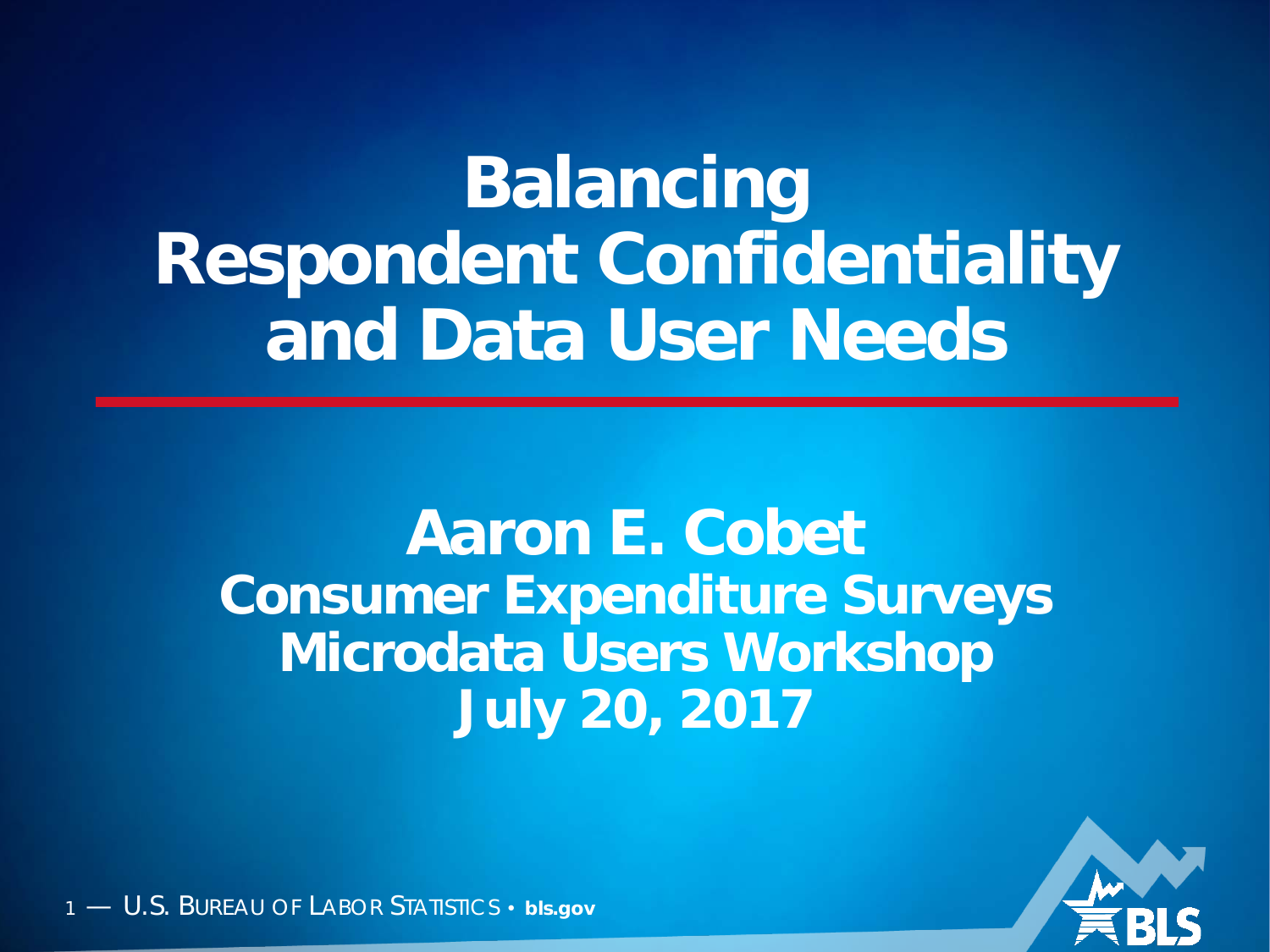### **Balancing Respondent Confidentiality and Data User Needs**

#### **Aaron E. Cobet Consumer Expenditure Surveys Microdata Users Workshop July 20, 2017**

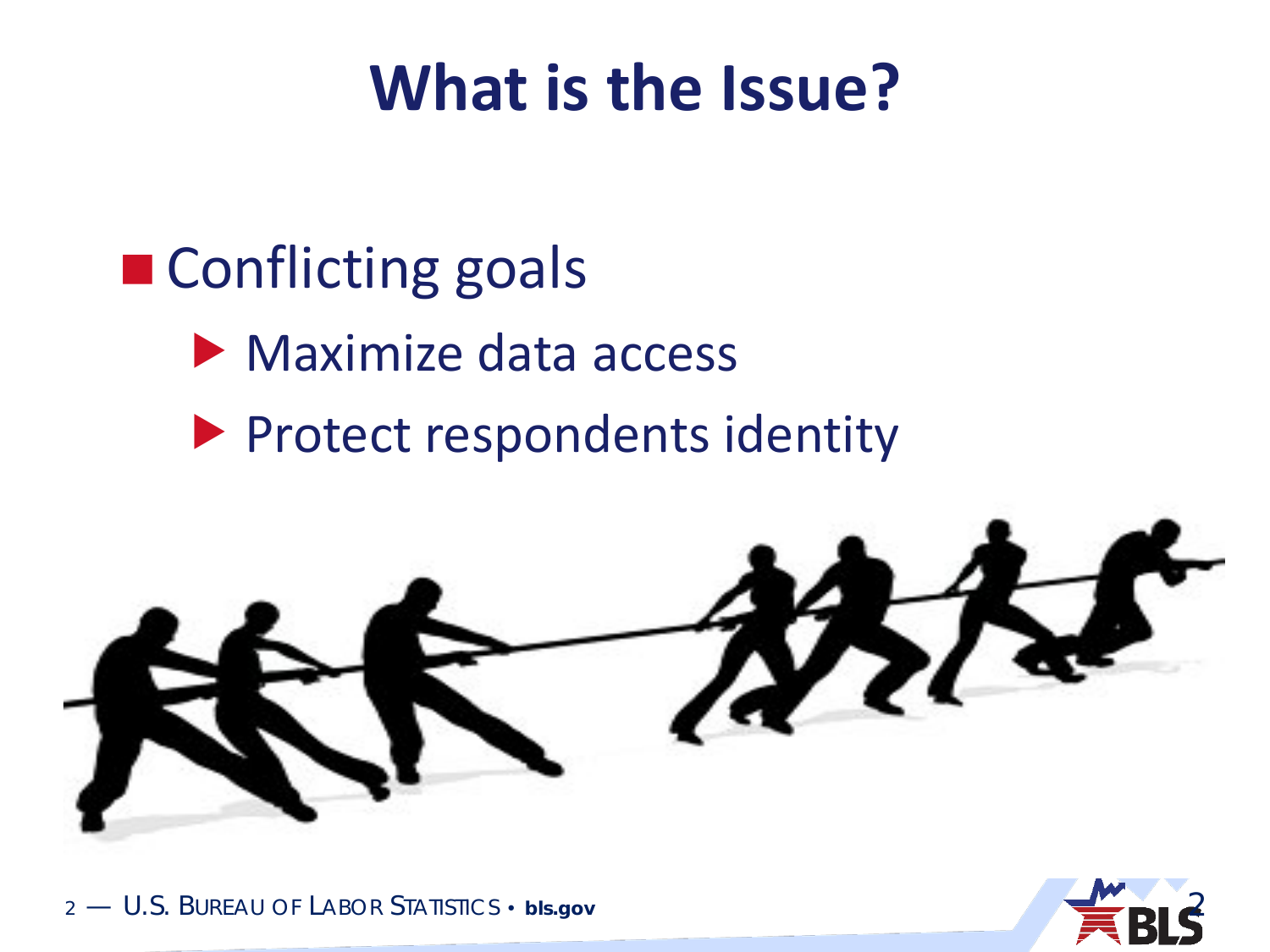#### **What is the Issue?**

#### ■ Conflicting goals

- **Maximize data access**
- **Protect respondents identity**



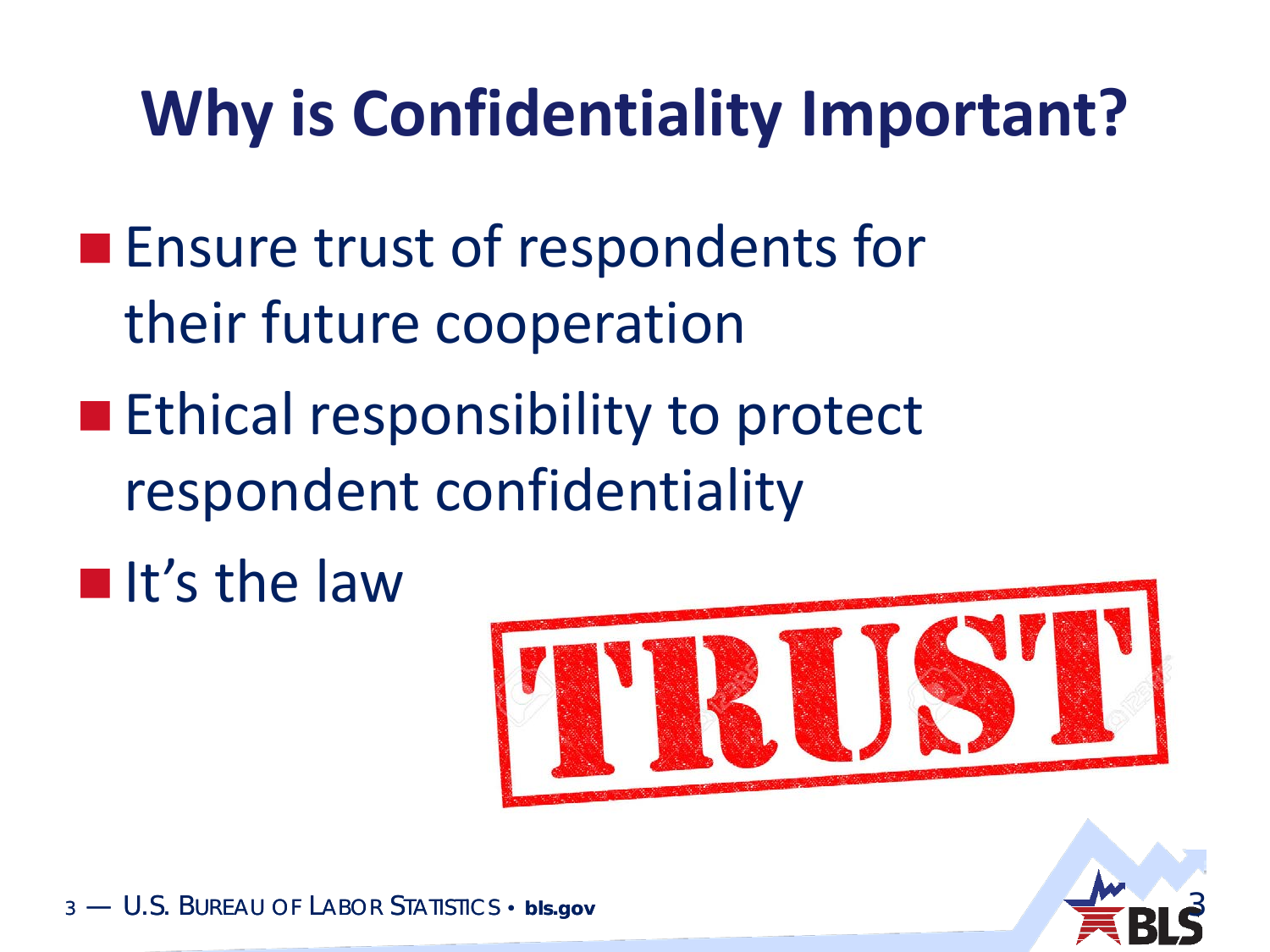### **Why is Confidentiality Important?**

- **Ensure trust of respondents for** their future cooperation
- **Ethical responsibility to protect** respondent confidentiality
- $\blacksquare$ It's the law



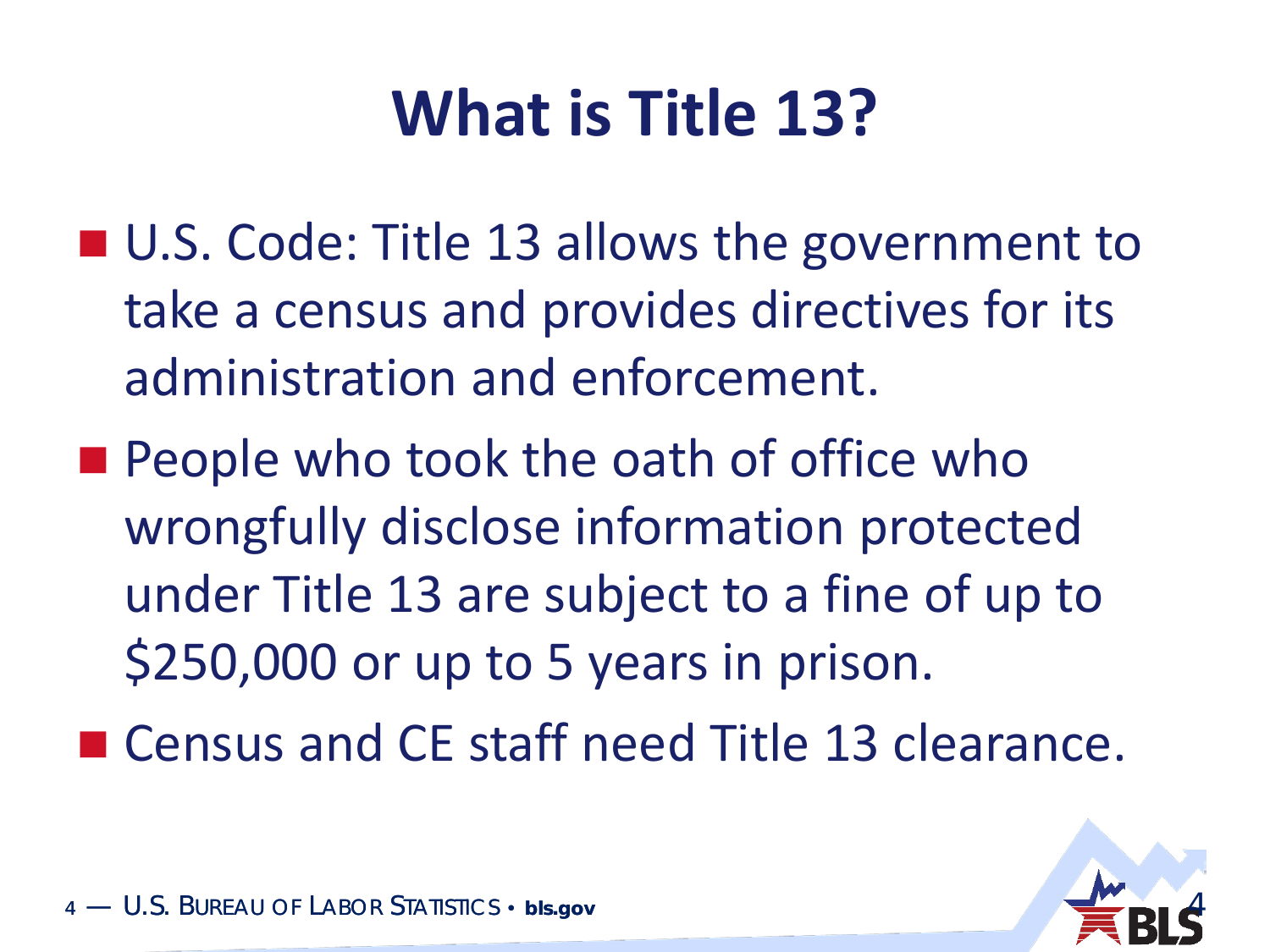### **What is Title 13?**

- U.S. Code: Title 13 allows the government to take a census and provides directives for its administration and enforcement.
- **People who took the oath of office who** wrongfully disclose information protected under Title 13 are subject to a fine of up to \$250,000 or up to 5 years in prison.
- Census and CE staff need Title 13 clearance.

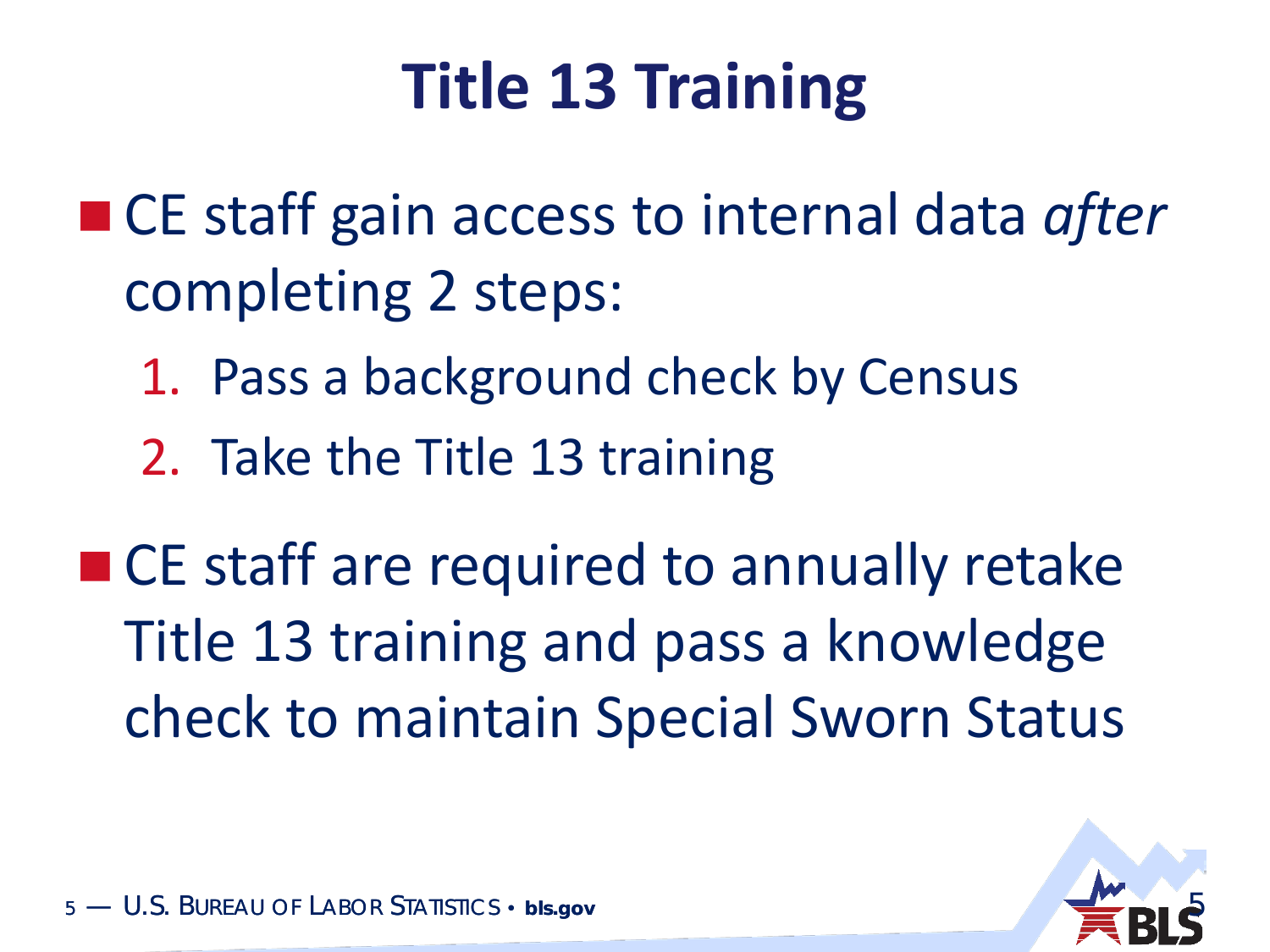### **Title 13 Training**

- CE staff gain access to internal data *after* completing 2 steps:
	- 1. Pass a background check by Census
	- 2. Take the Title 13 training

■ CE staff are required to annually retake Title 13 training and pass a knowledge check to maintain Special Sworn Status

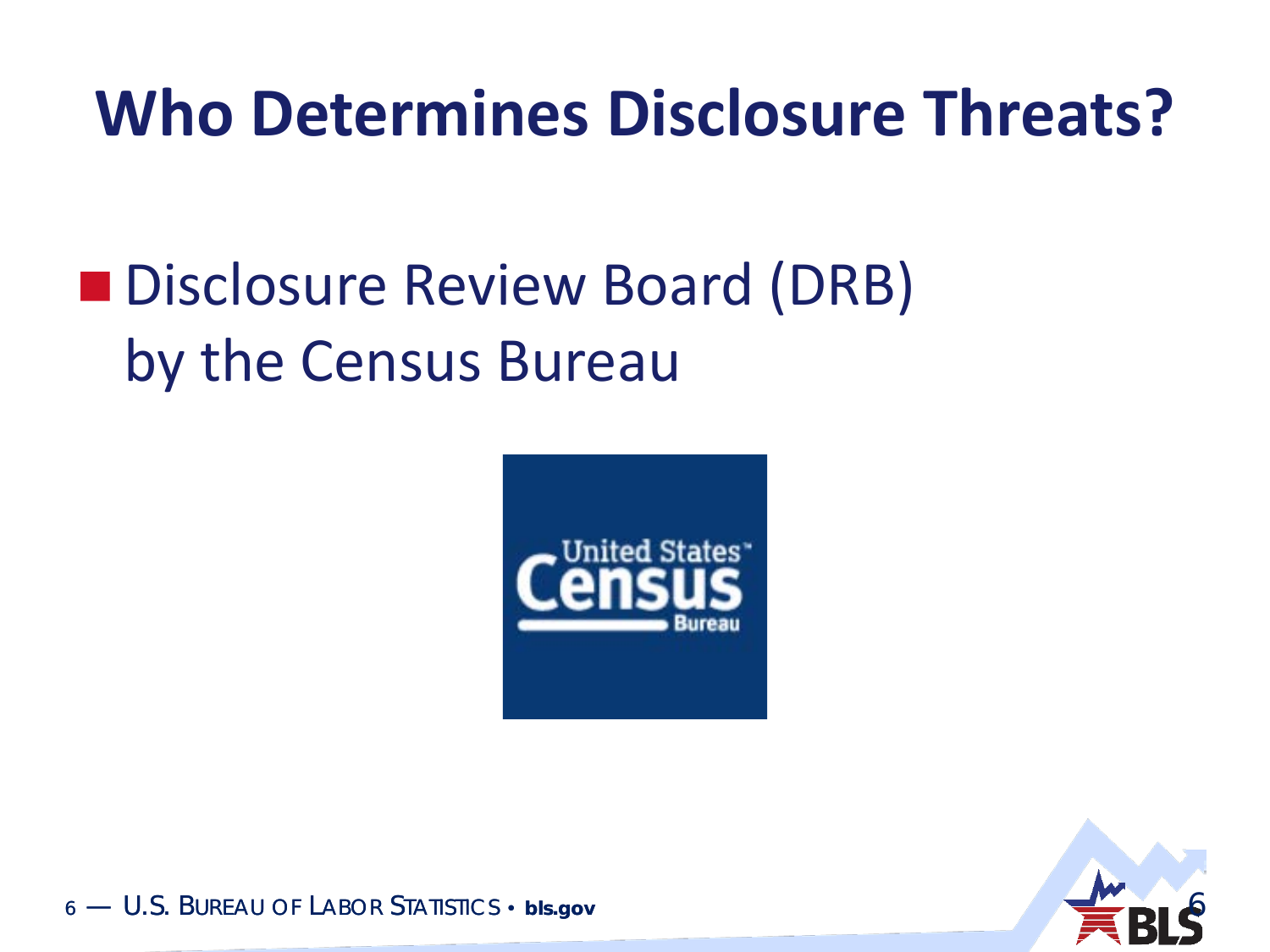#### **Who Determines Disclosure Threats?**

#### **Disclosure Review Board (DRB)** by the Census Bureau



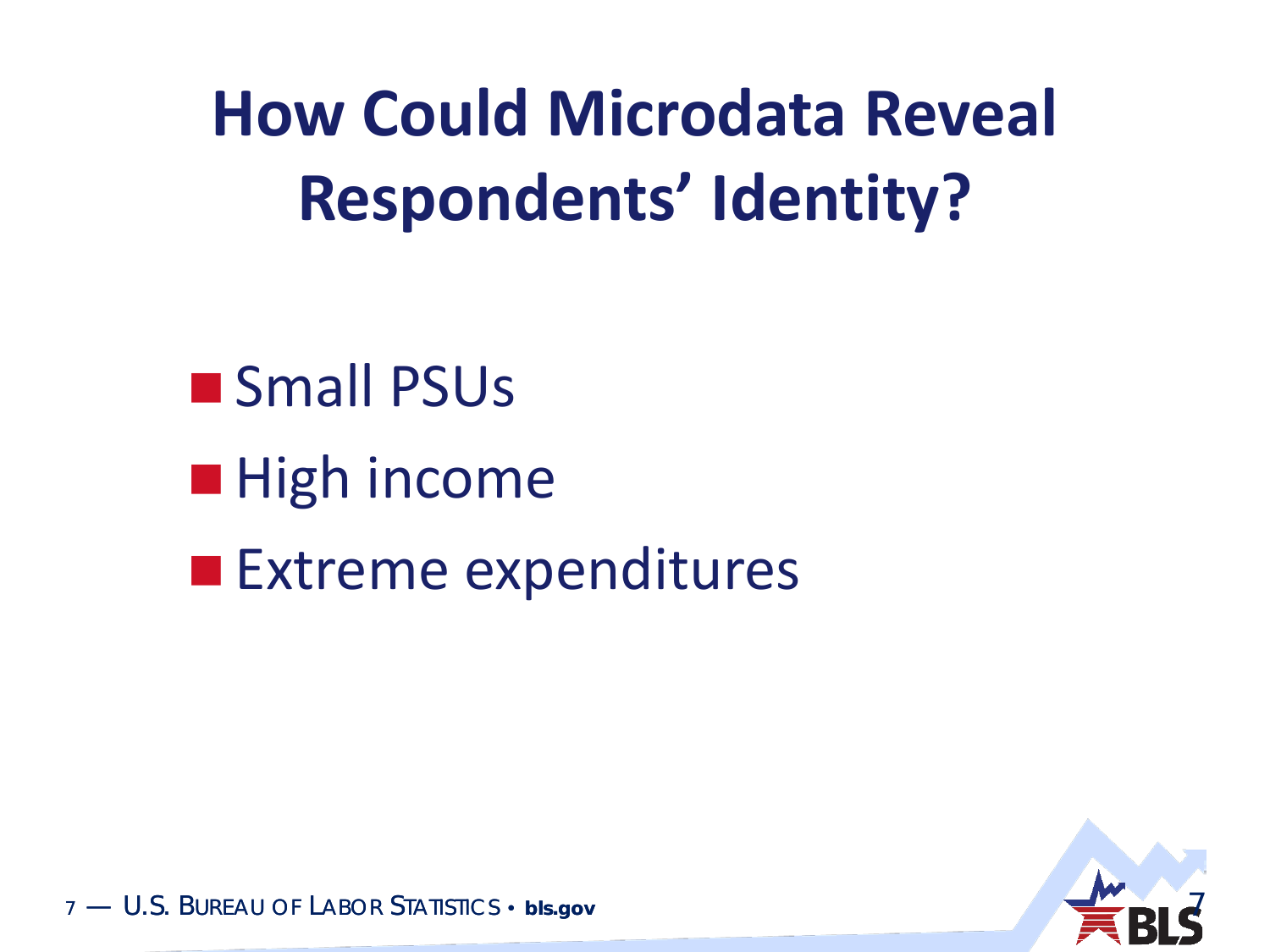**How Could Microdata Reveal Respondents' Identity?** 

**Small PSUs**  $\blacksquare$  High income **Extreme expenditures** 

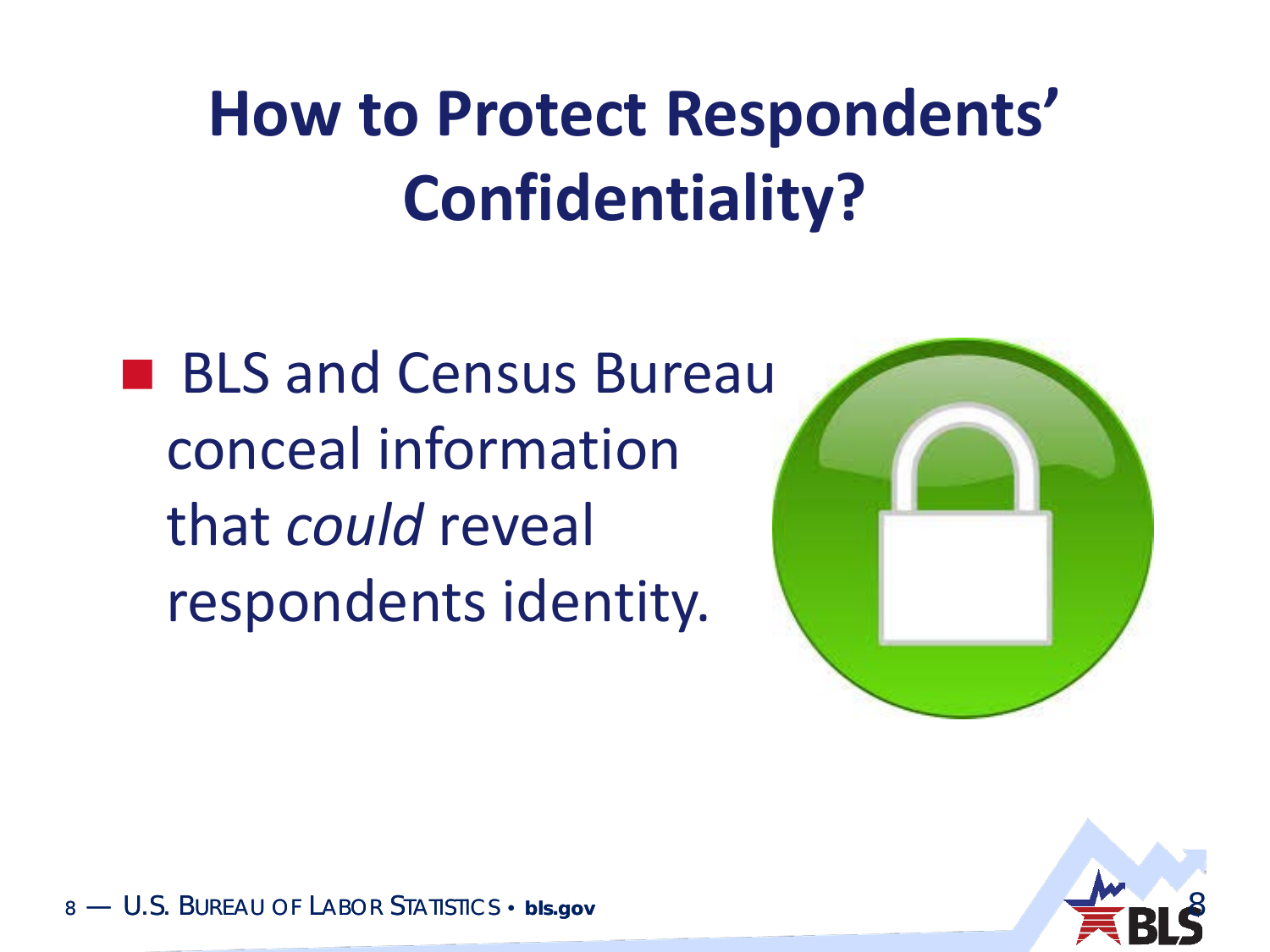# **How to Protect Respondents' Confidentiality?**

■ BLS and Census Bureau conceal information that *could* reveal respondents identity.



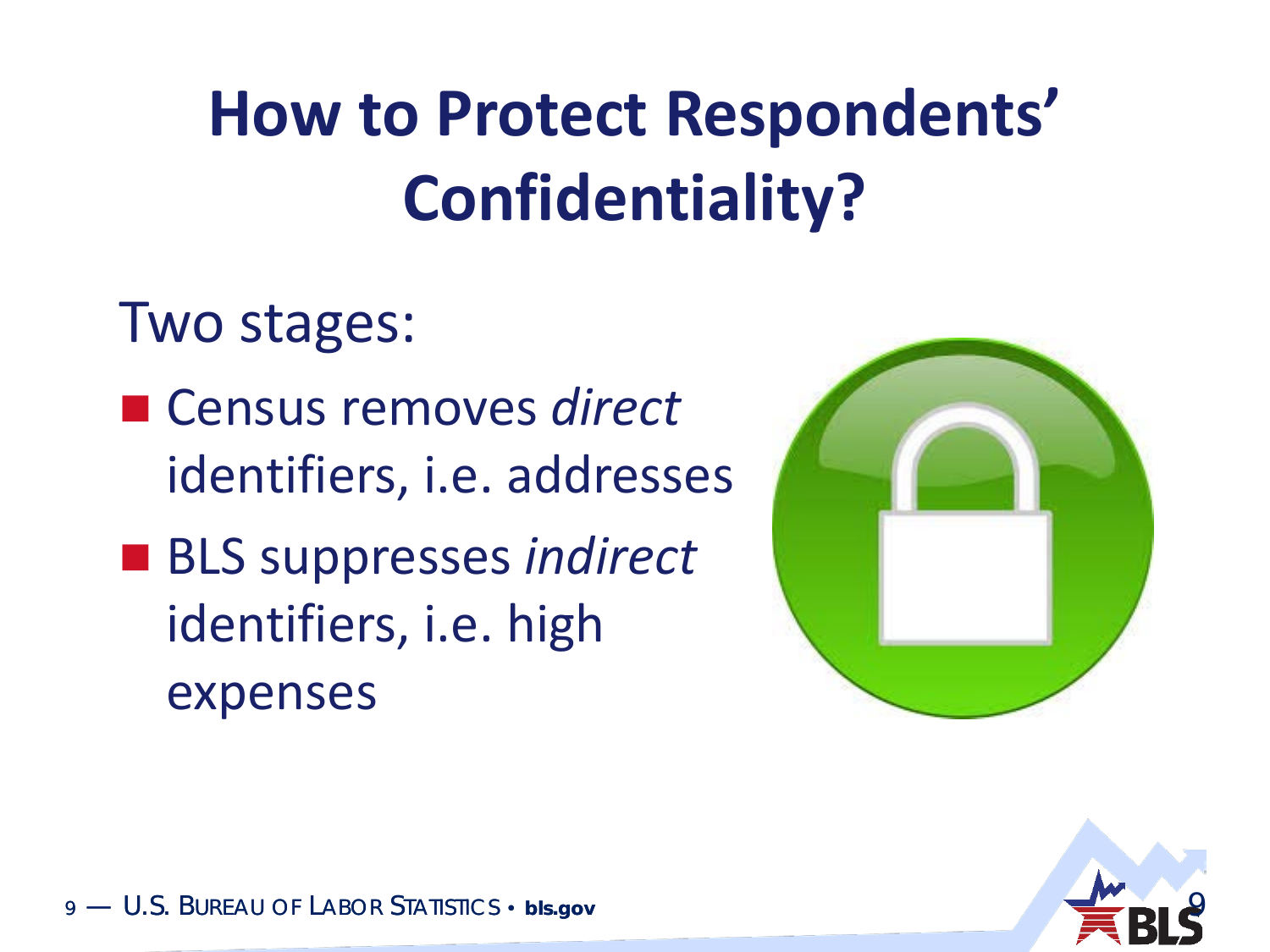# **How to Protect Respondents' Confidentiality?**

Two stages:

- Census removes *direct* identifiers, i.e. addresses
- BLS suppresses *indirect* identifiers, i.e. high expenses



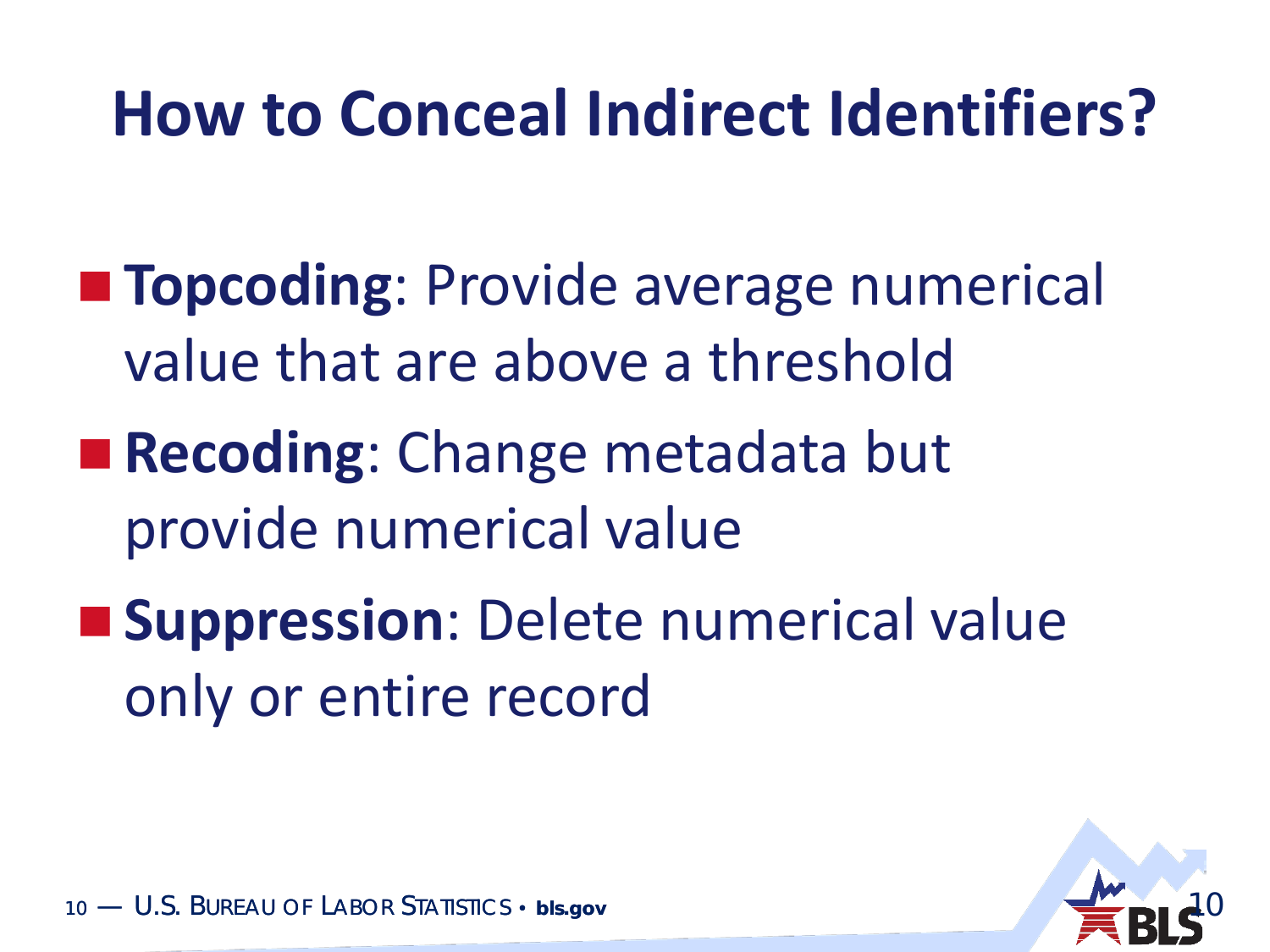### **How to Conceal Indirect Identifiers?**

- **Topcoding**: Provide average numerical value that are above a threshold
- **Recoding: Change metadata but** provide numerical value
- **Suppression**: Delete numerical value only or entire record

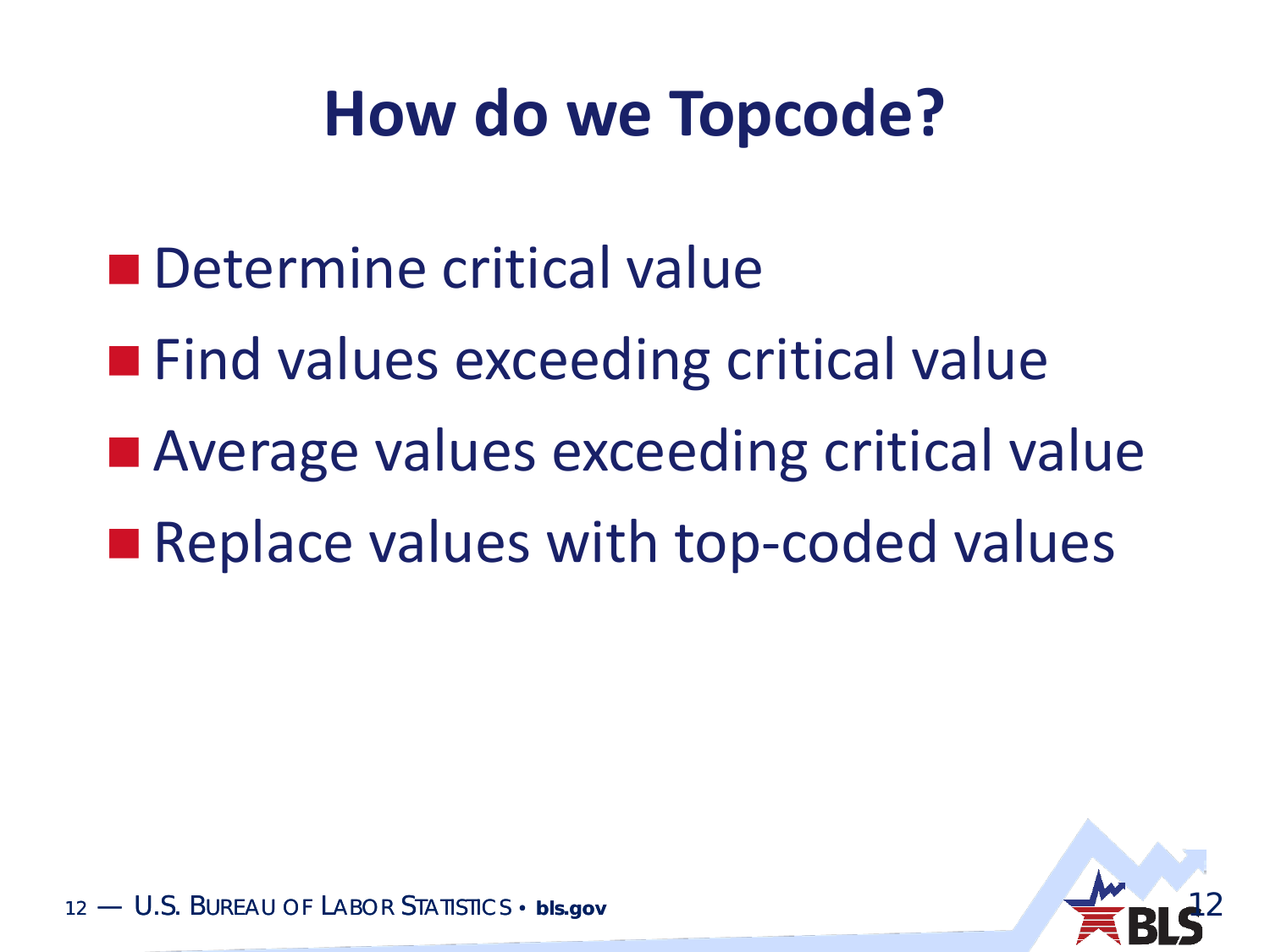#### **How do we Topcode?**

- **n** Determine critical value
- **Find values exceeding critical value**
- **Average values exceeding critical value**
- Replace values with top-coded values

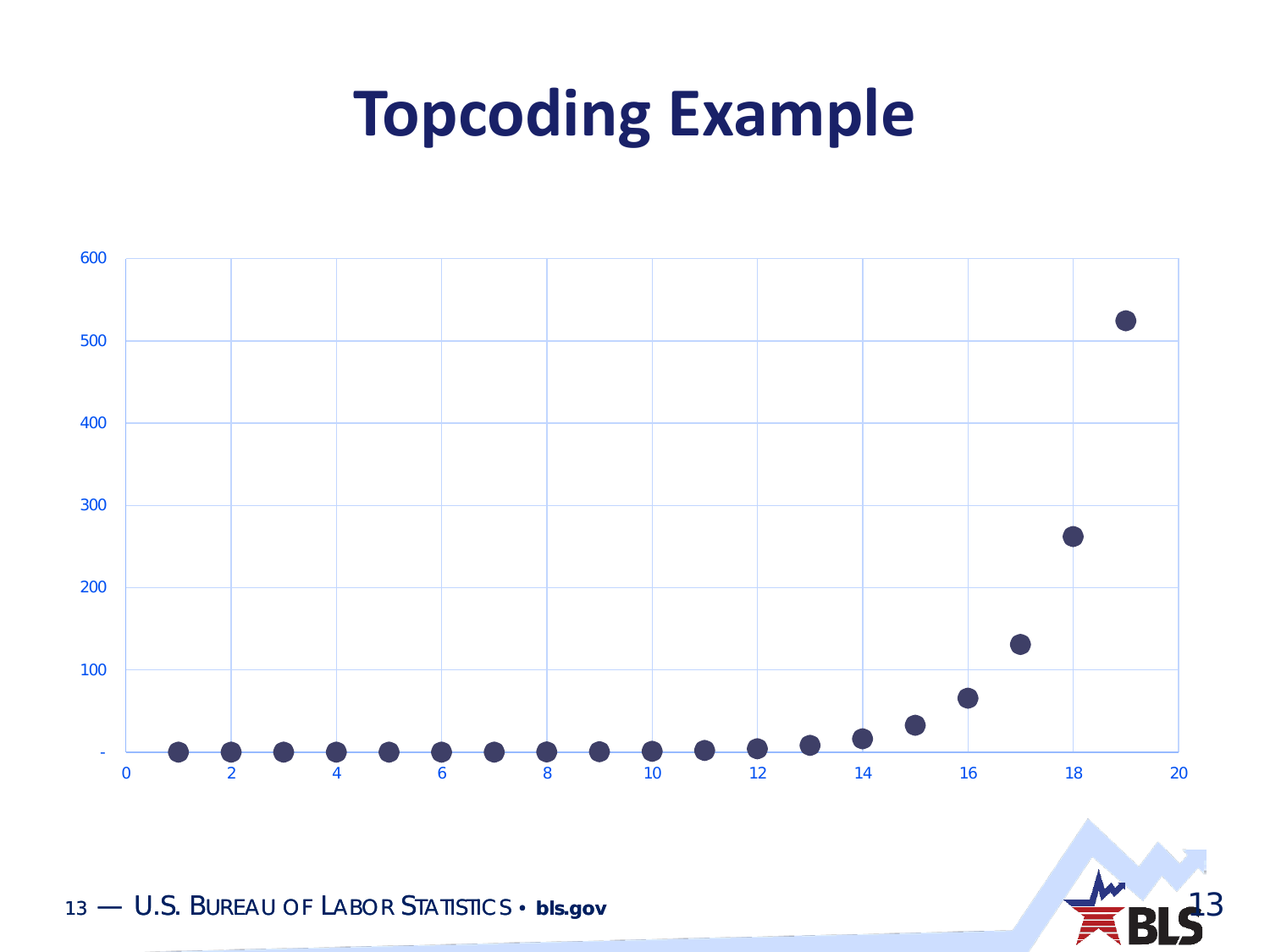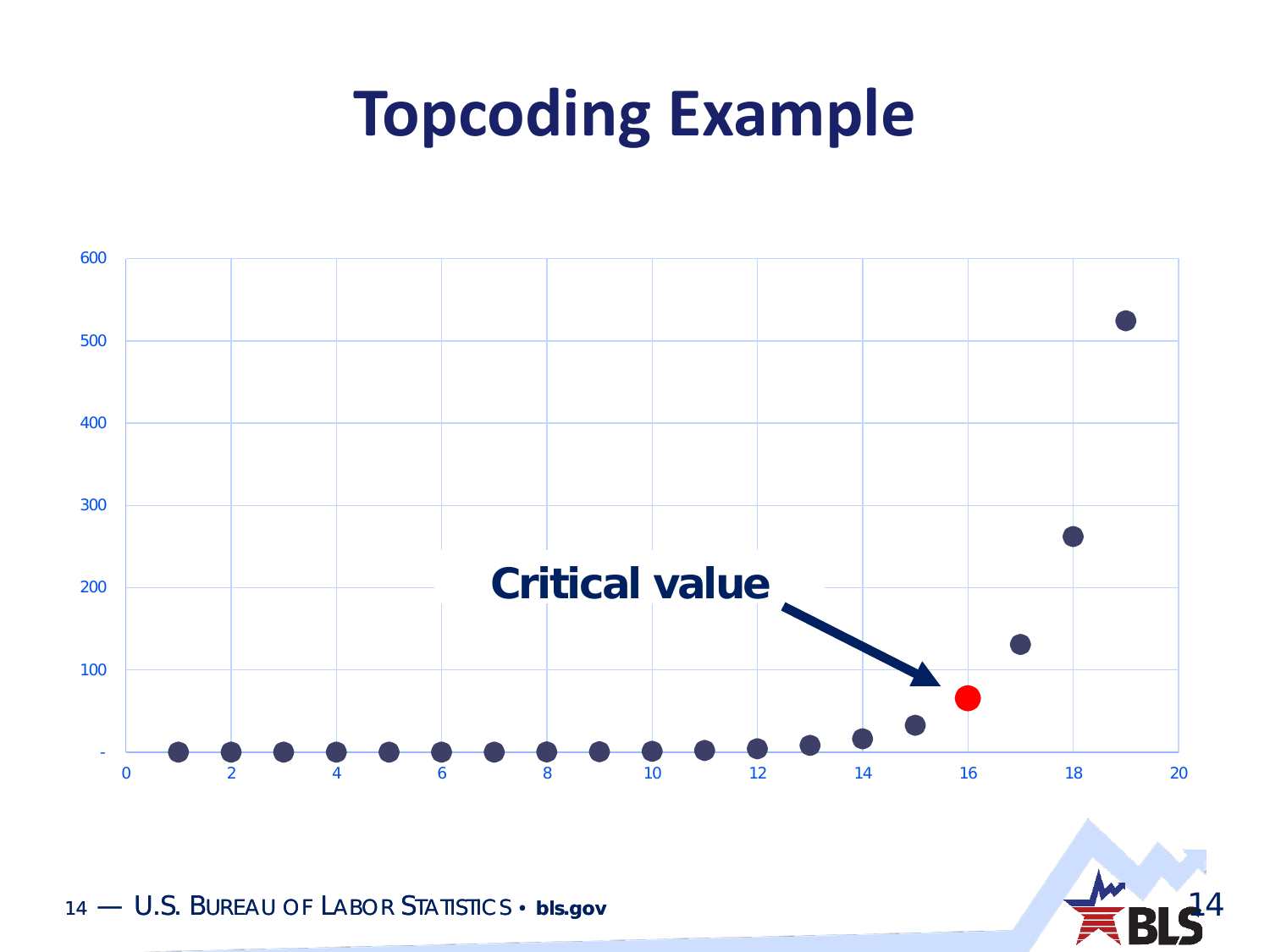

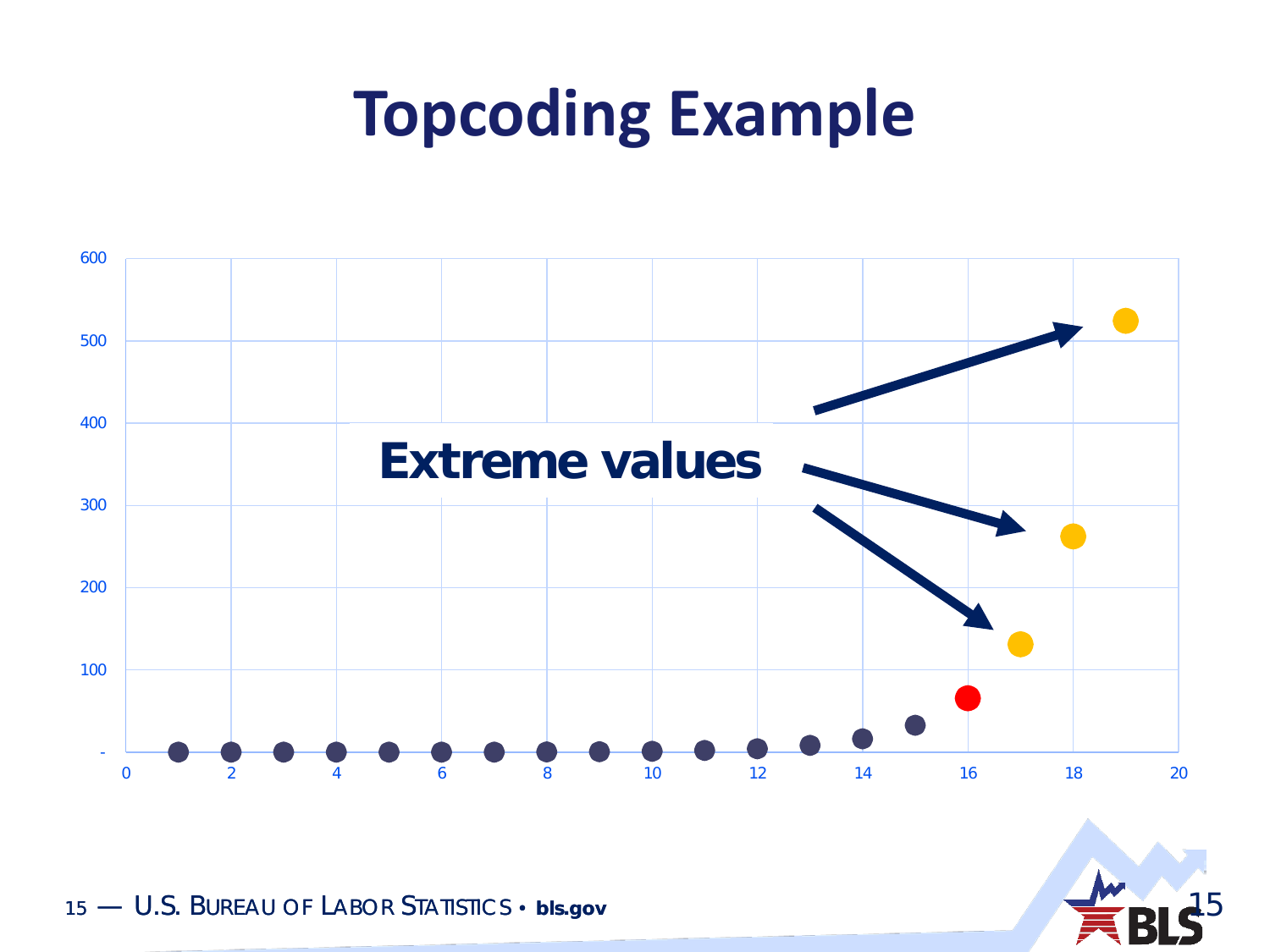

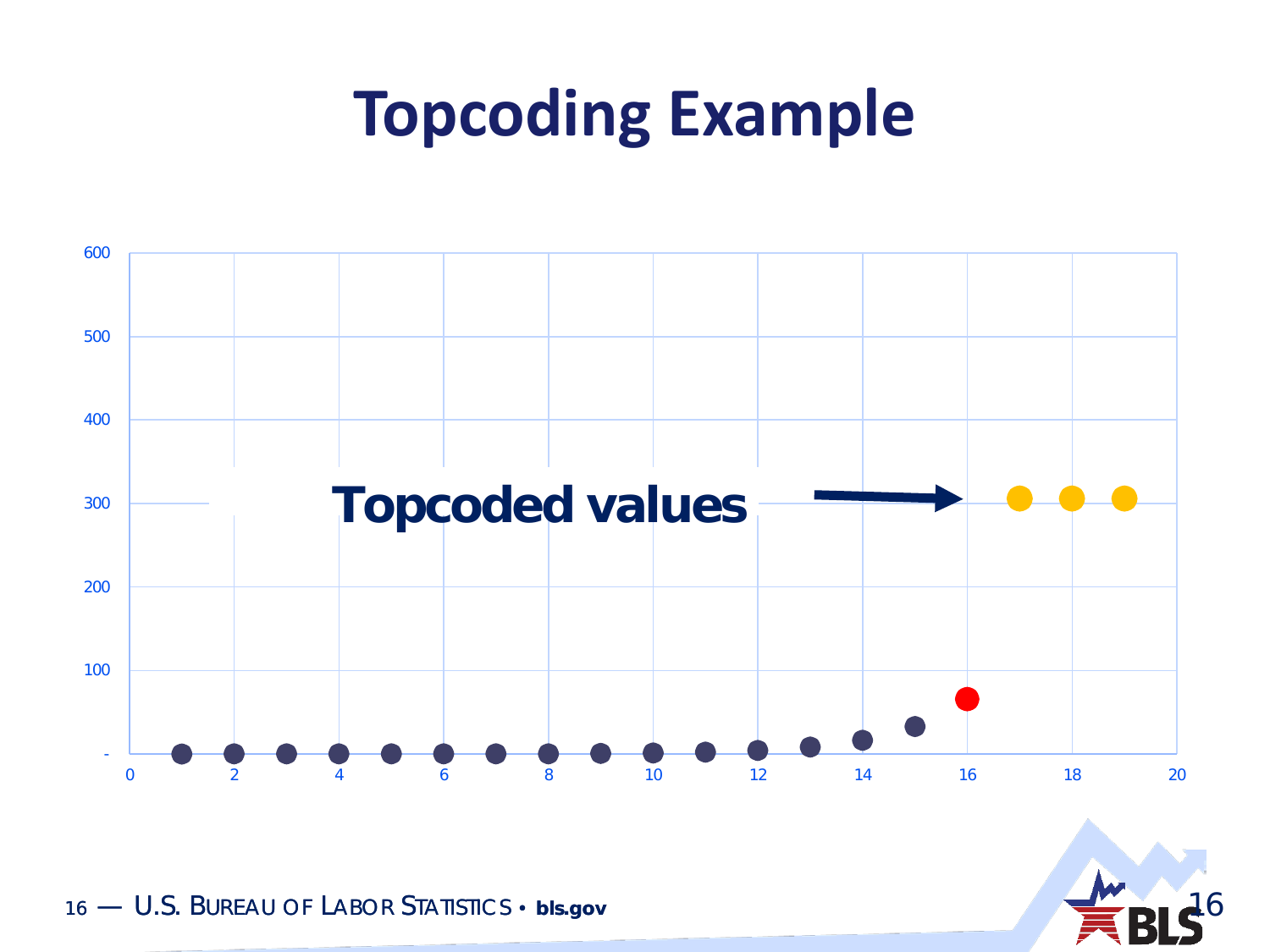

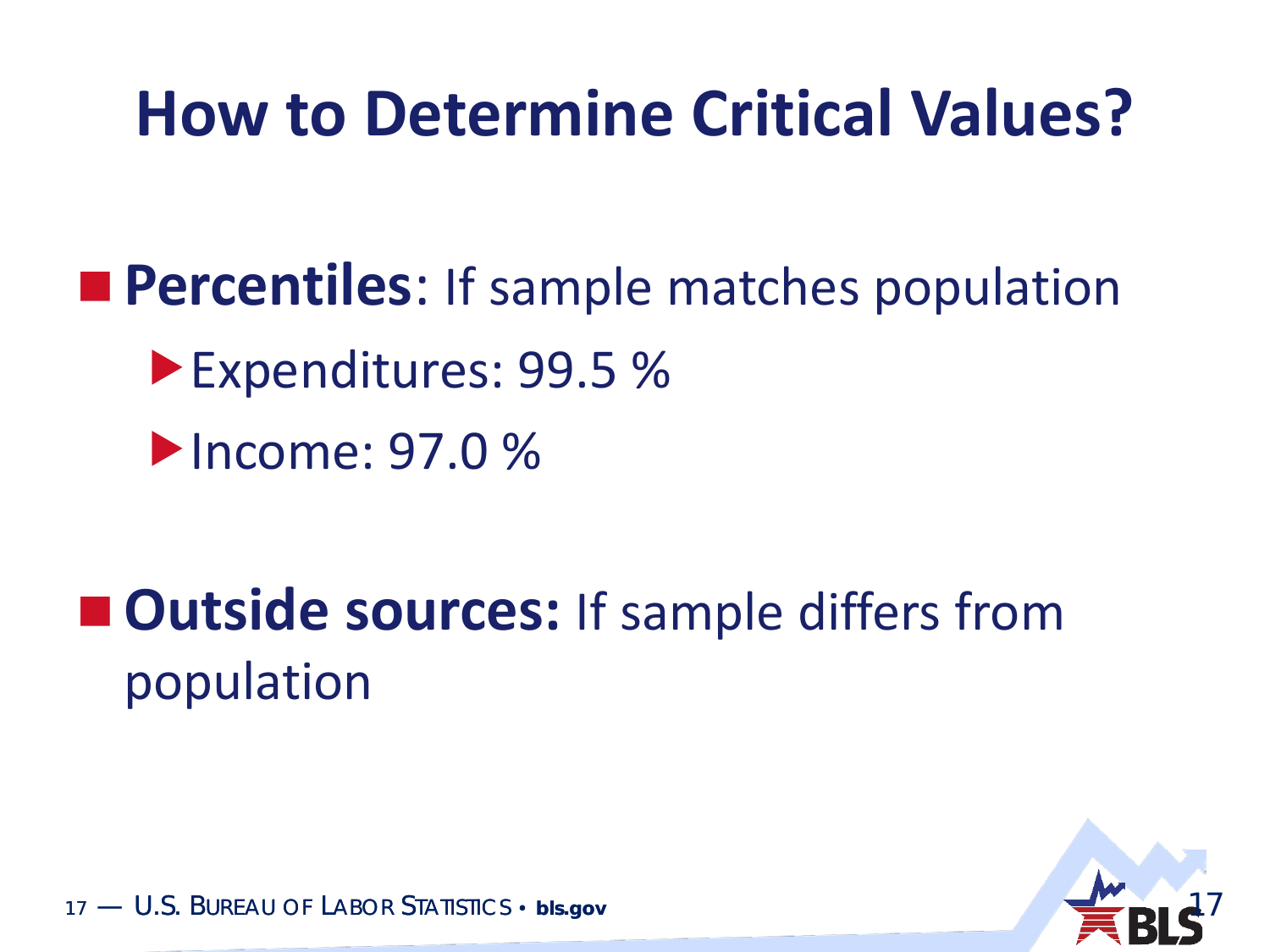#### **How to Determine Critical Values?**

**Percentiles:** If sample matches population ▶ Expenditures: 99.5 % **Denome: 97.0 %** 

**Outside sources:** If sample differs from population

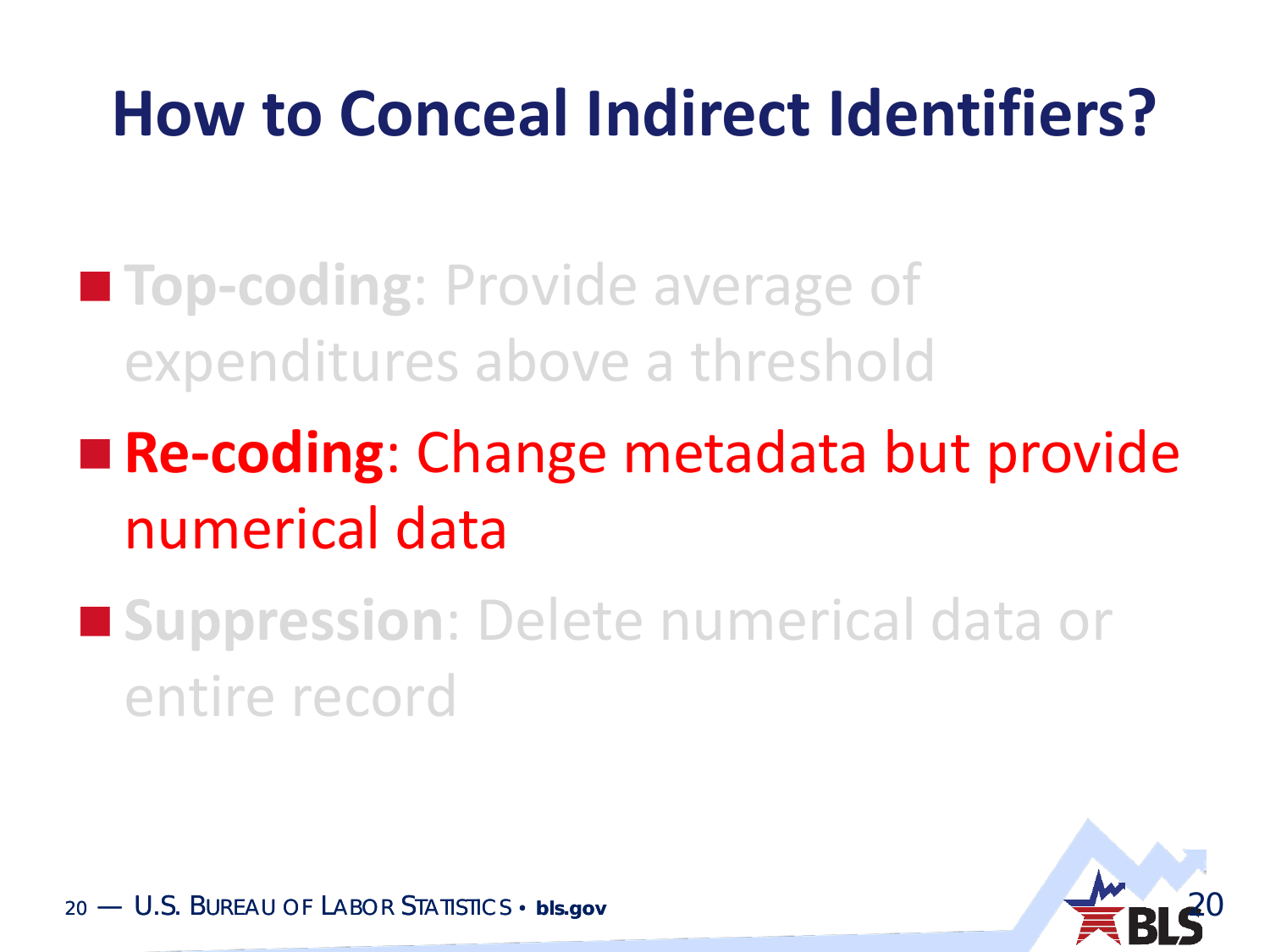#### **How to Conceal Indirect Identifiers?**

- **Top-coding**: Provide average of expenditures above a threshold
- **Re-coding**: Change metadata but provide numerical data
- **E** Suppression: Delete numerical data or entire record

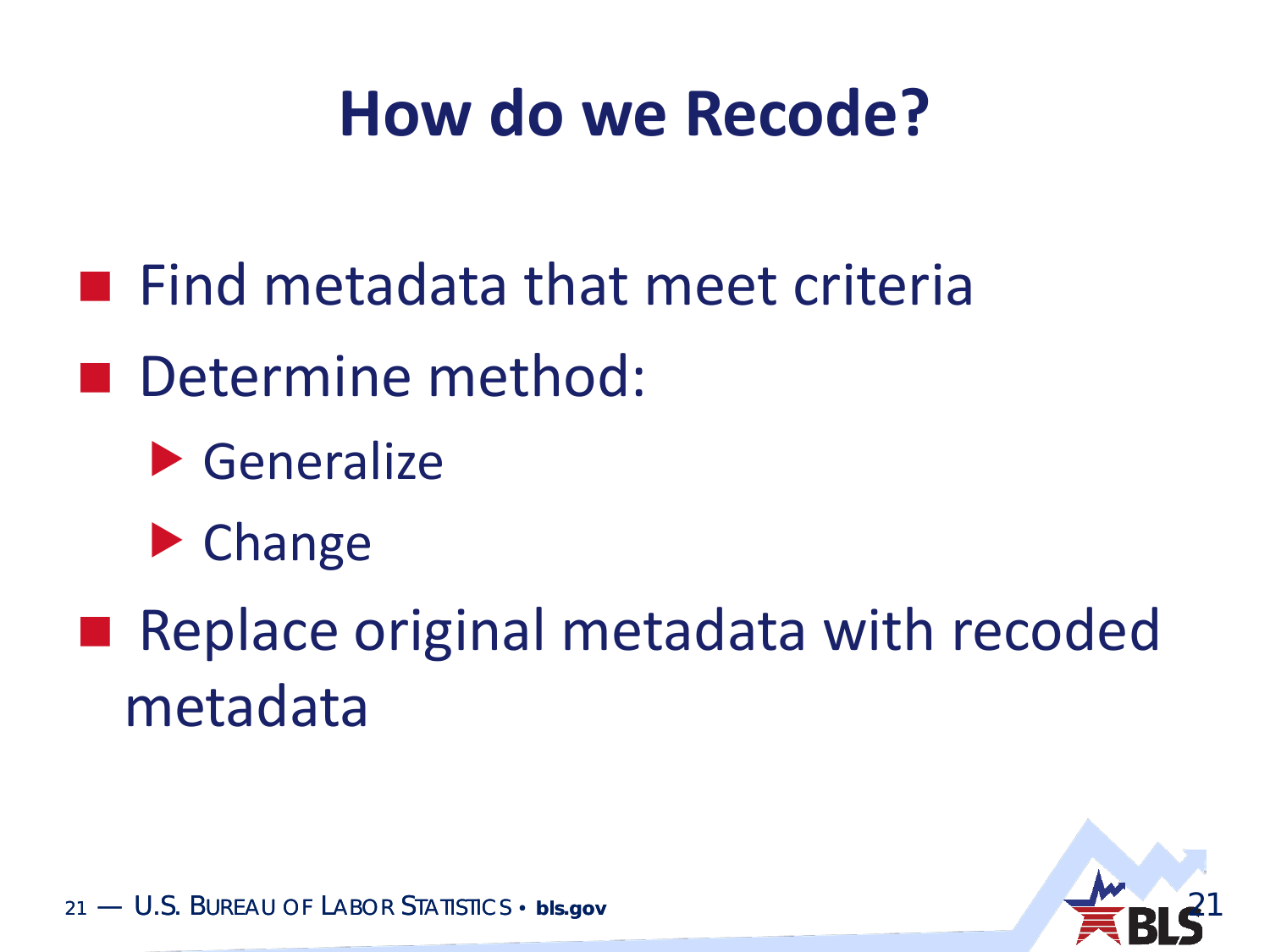#### **How do we Recode?**

- **Find metadata that meet criteria**
- Determine method:
	- Generalize
	- **Change**
- Replace original metadata with recoded metadata

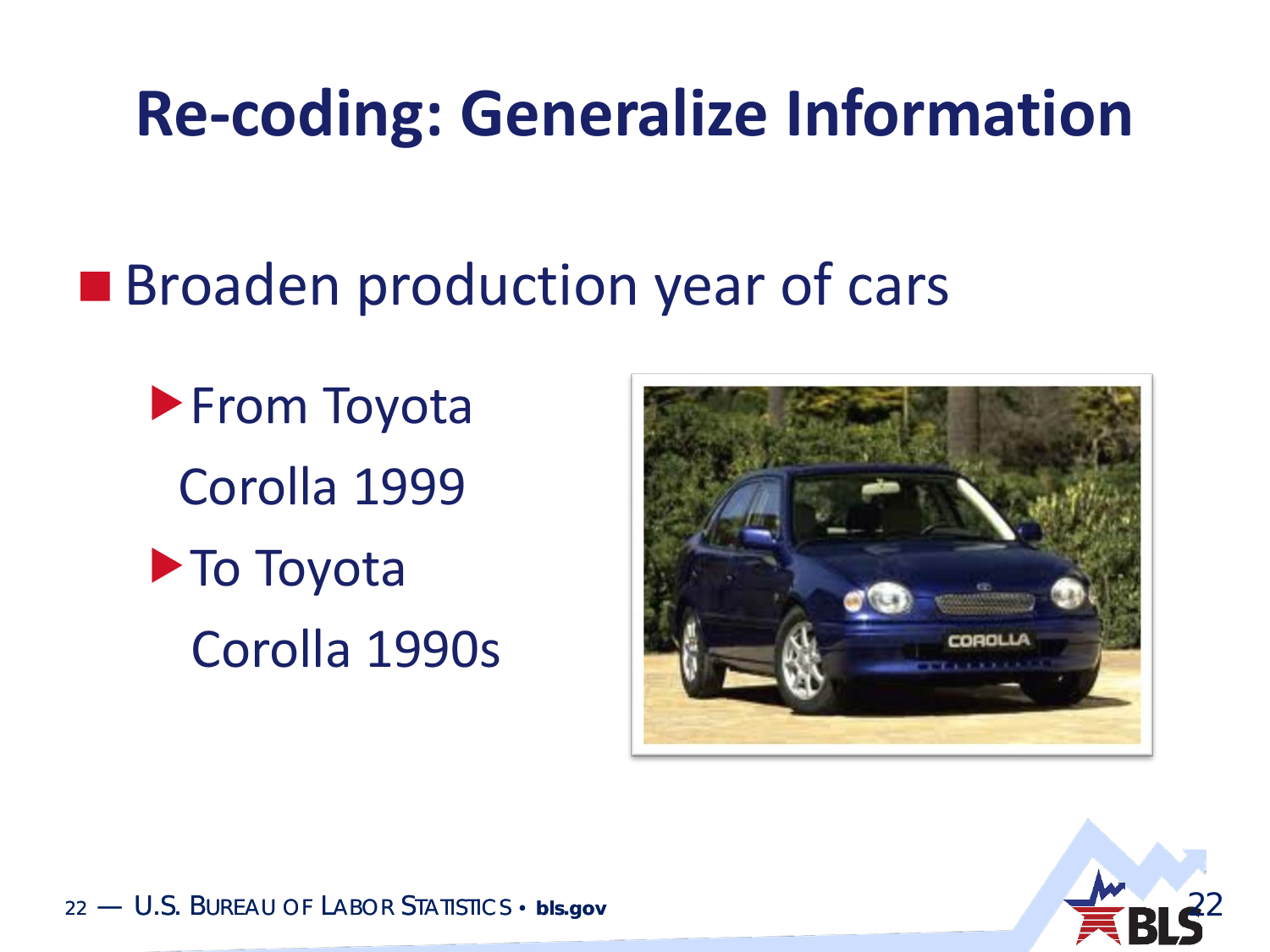#### **Re-coding: Generalize Information**

#### **Broaden production year of cars**

**From Toyota** Corolla 1999 **To Toyota** 

Corolla 1990s



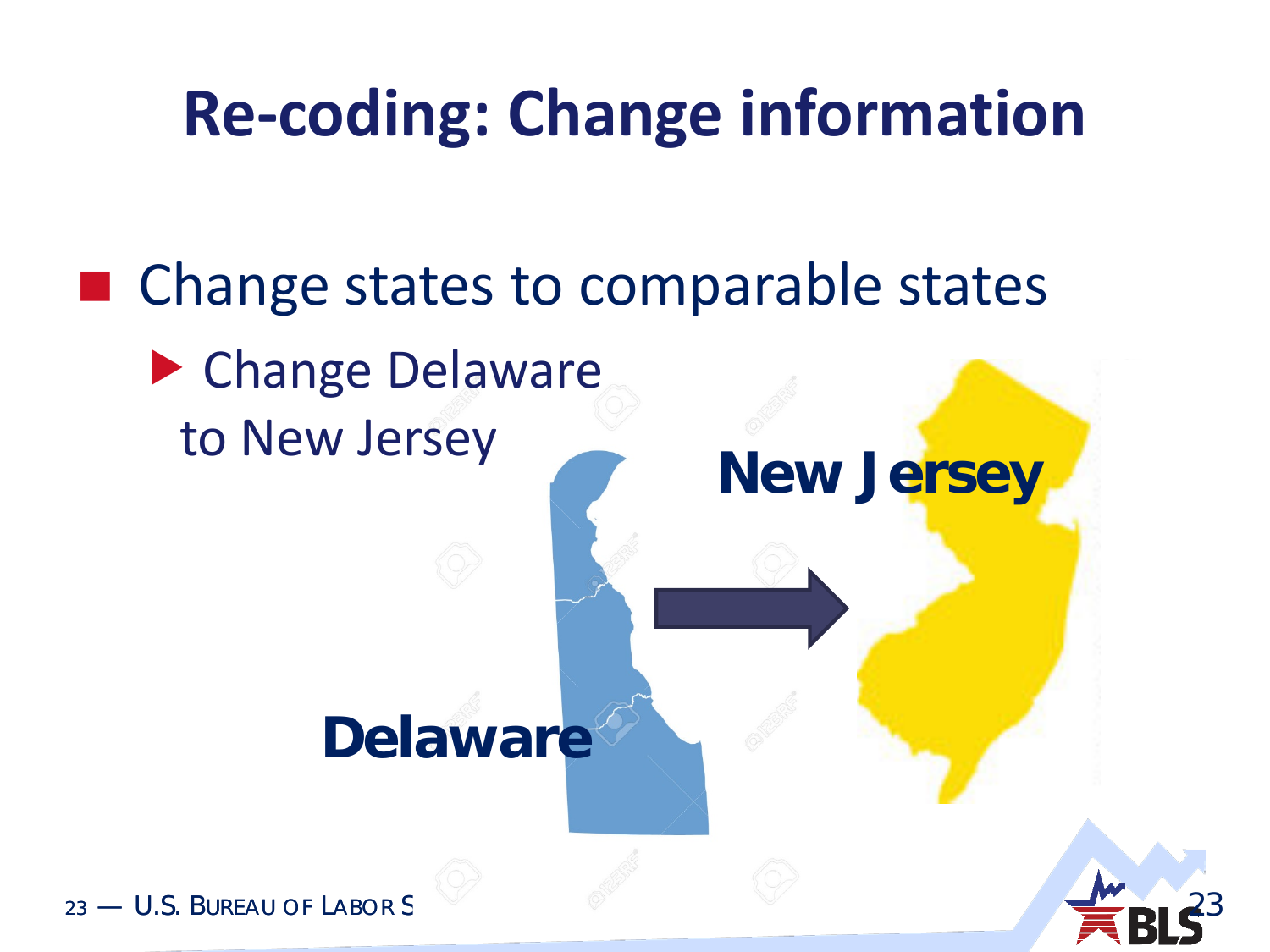### **Re-coding: Change information**

■ Change states to comparable states ▶ Change Delaware to New Jersey **Delaware New Jersey**

23

23 — U.S. BUREAU OF LABOR S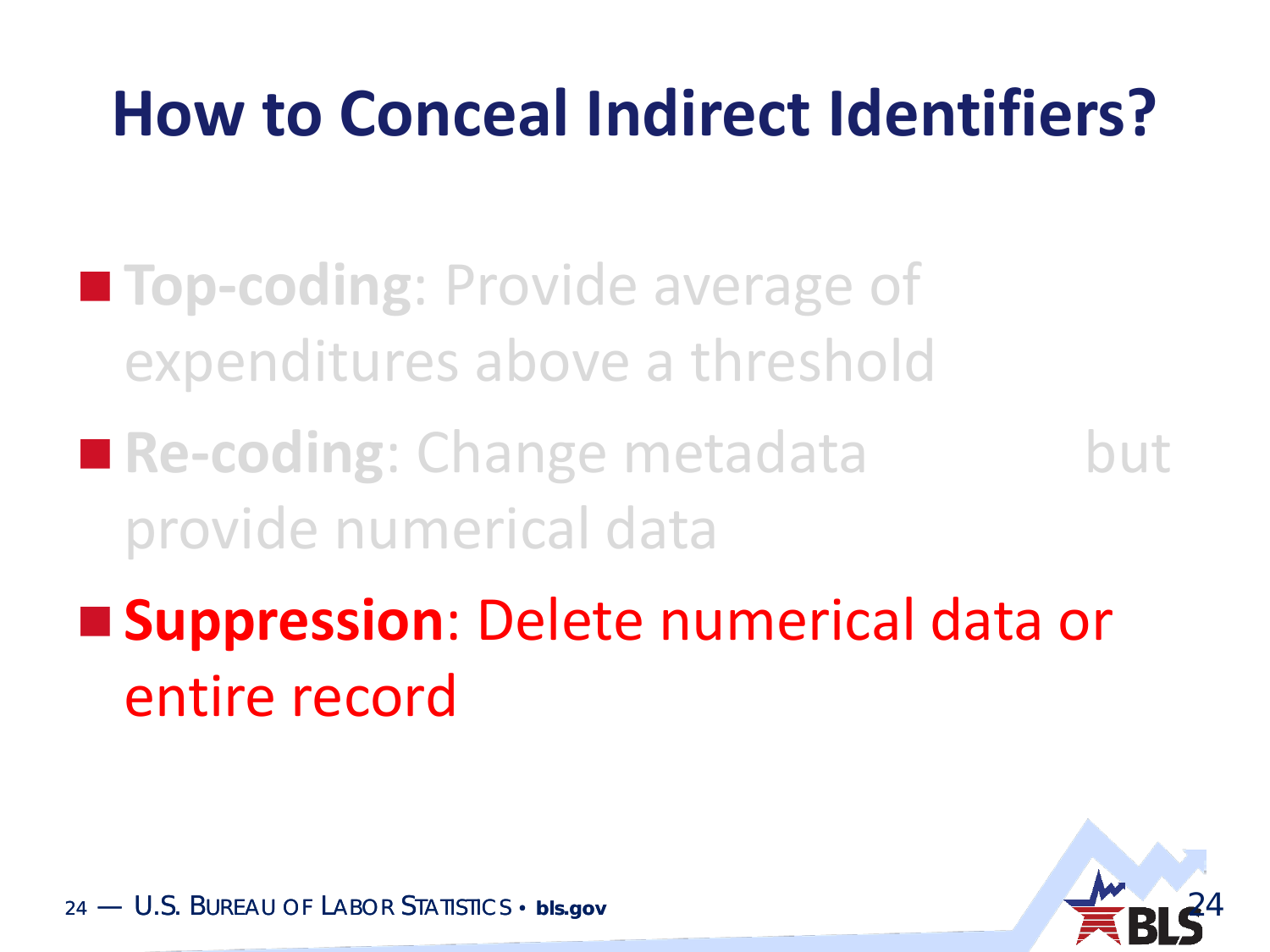### **How to Conceal Indirect Identifiers?**

- **Top-coding**: Provide average of expenditures above a threshold
- **Re-coding: Change metadata** but provide numerical data
- **Suppression**: Delete numerical data or entire record

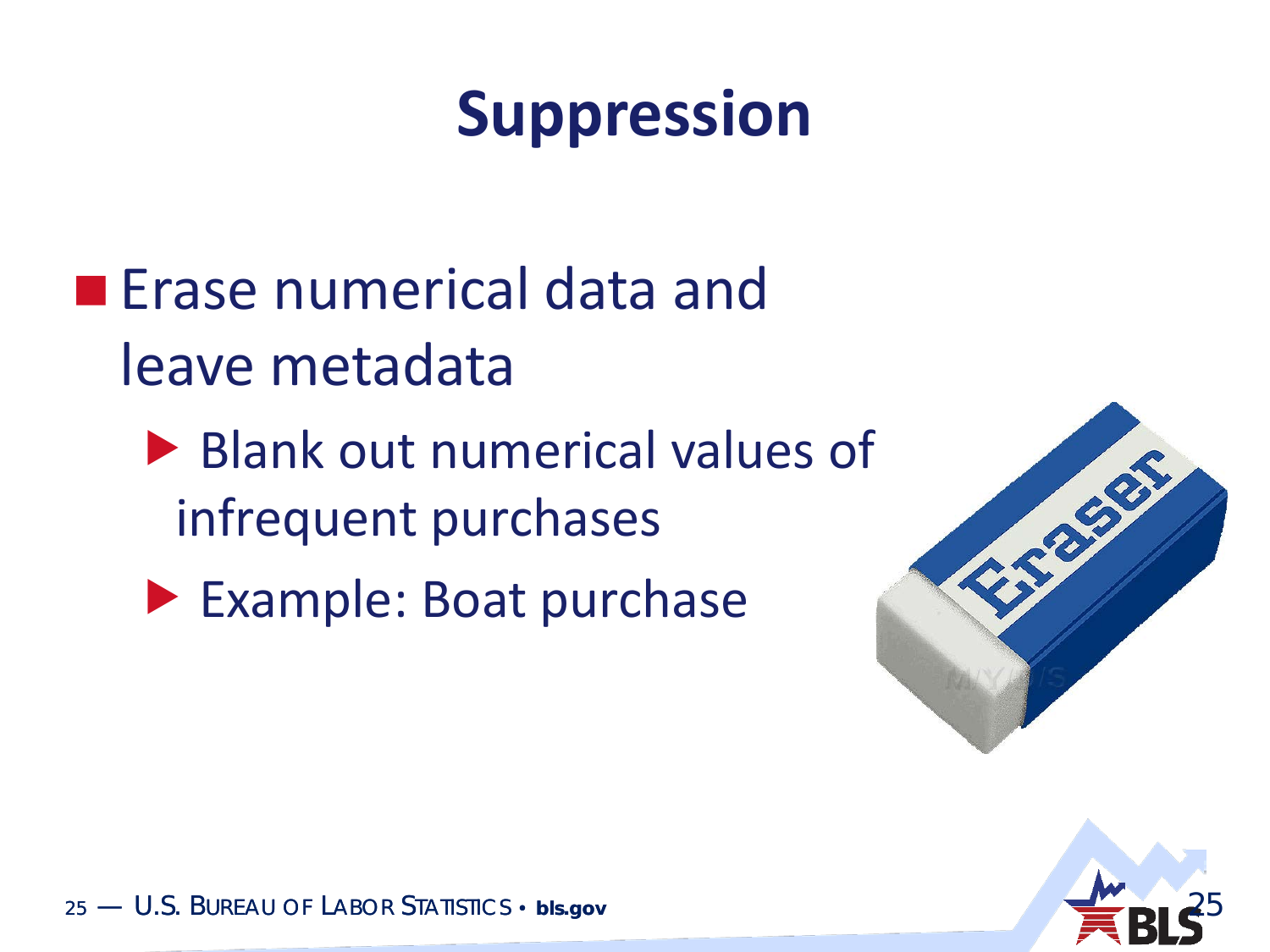### **Suppression**

- **E** Erase numerical data and leave metadata
	- ▶ Blank out numerical values of infrequent purchases
	- Example: Boat purchase



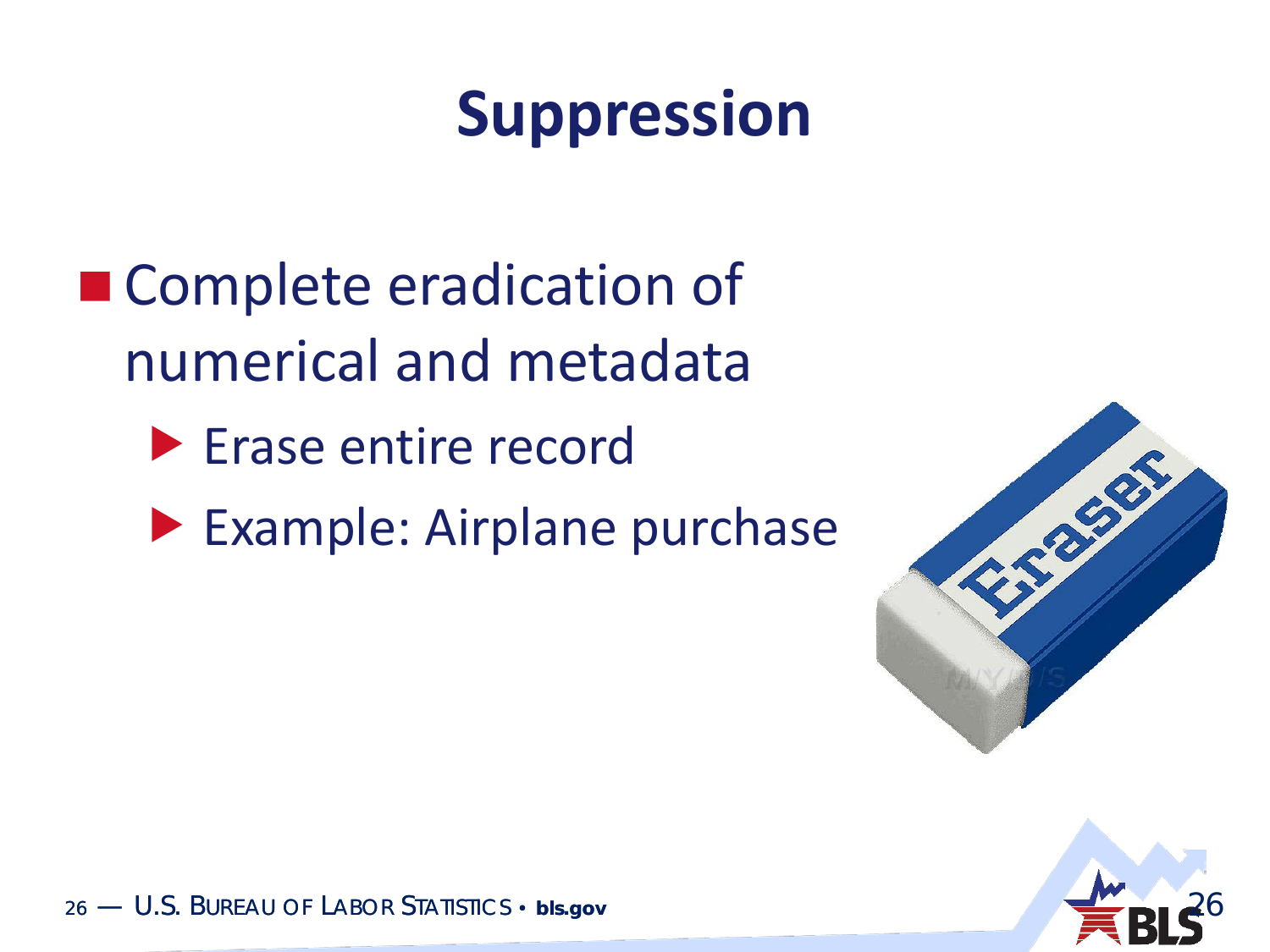### **Suppression**

- Complete eradication of numerical and metadata
	- **Erase entire record**
	- **Example: Airplane purchase**



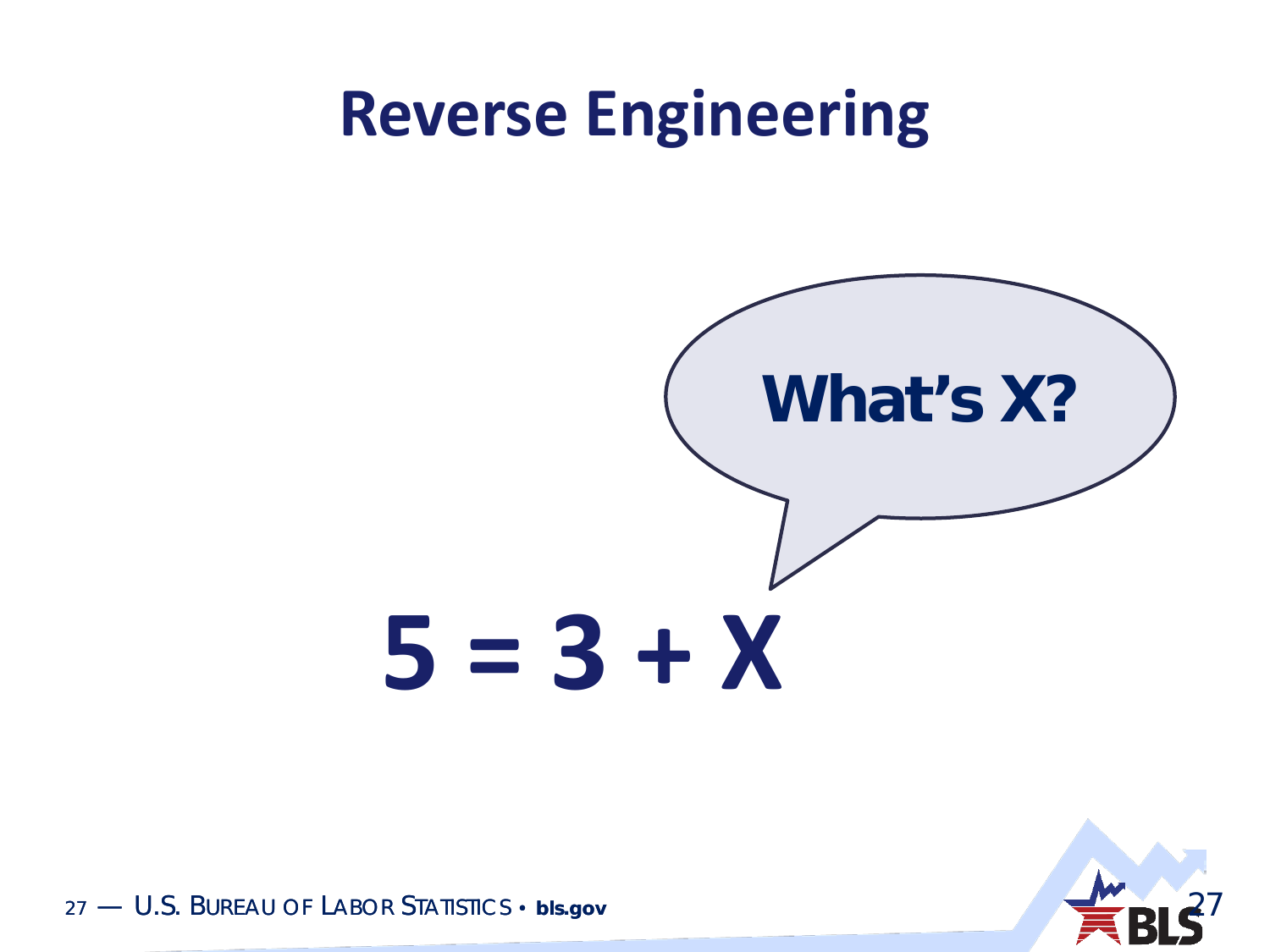#### **Reverse Engineering**



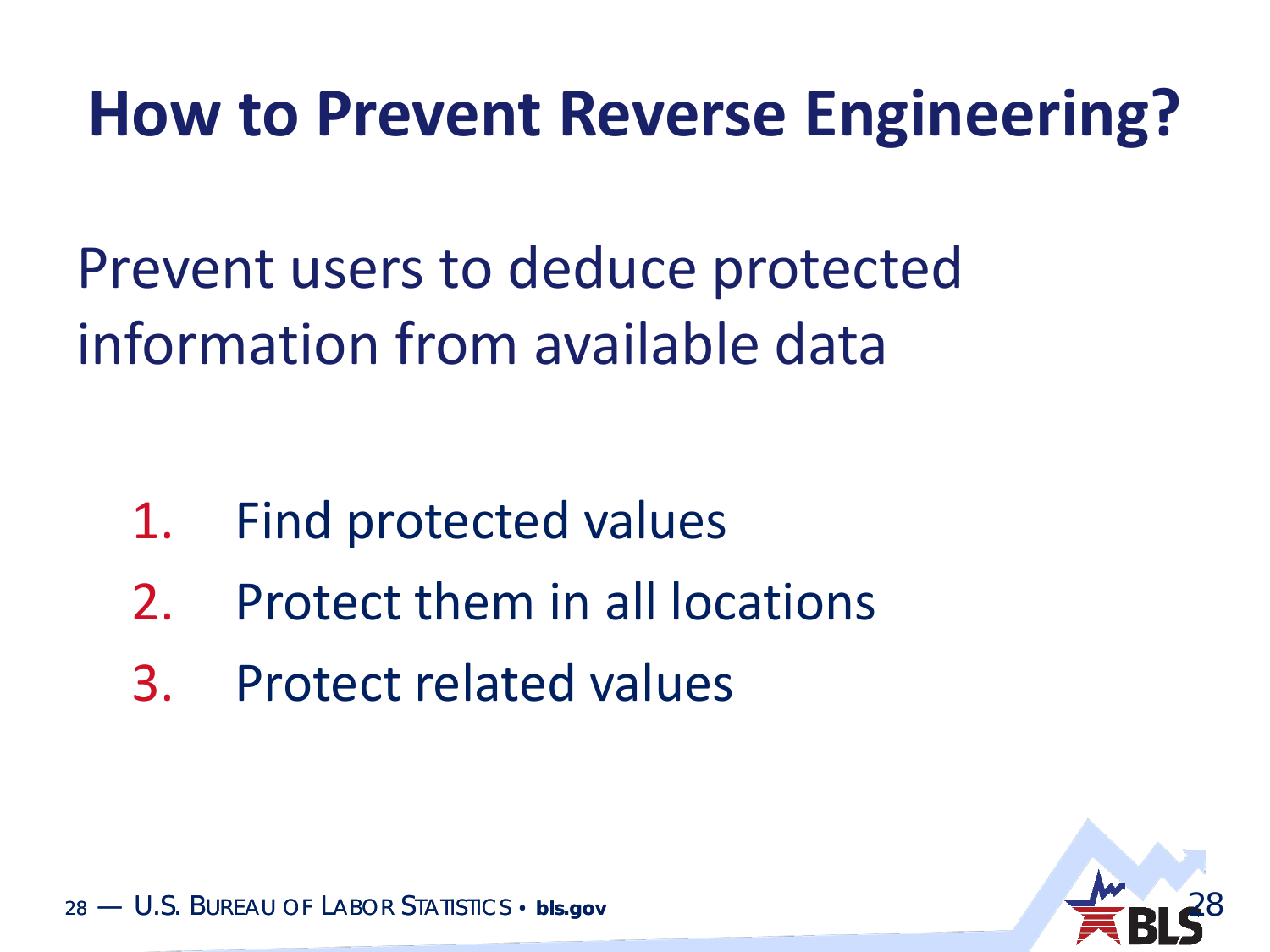#### **How to Prevent Reverse Engineering?**

Prevent users to deduce protected information from available data

- 1. Find protected values
- 2. Protect them in all locations
- 3. Protect related values

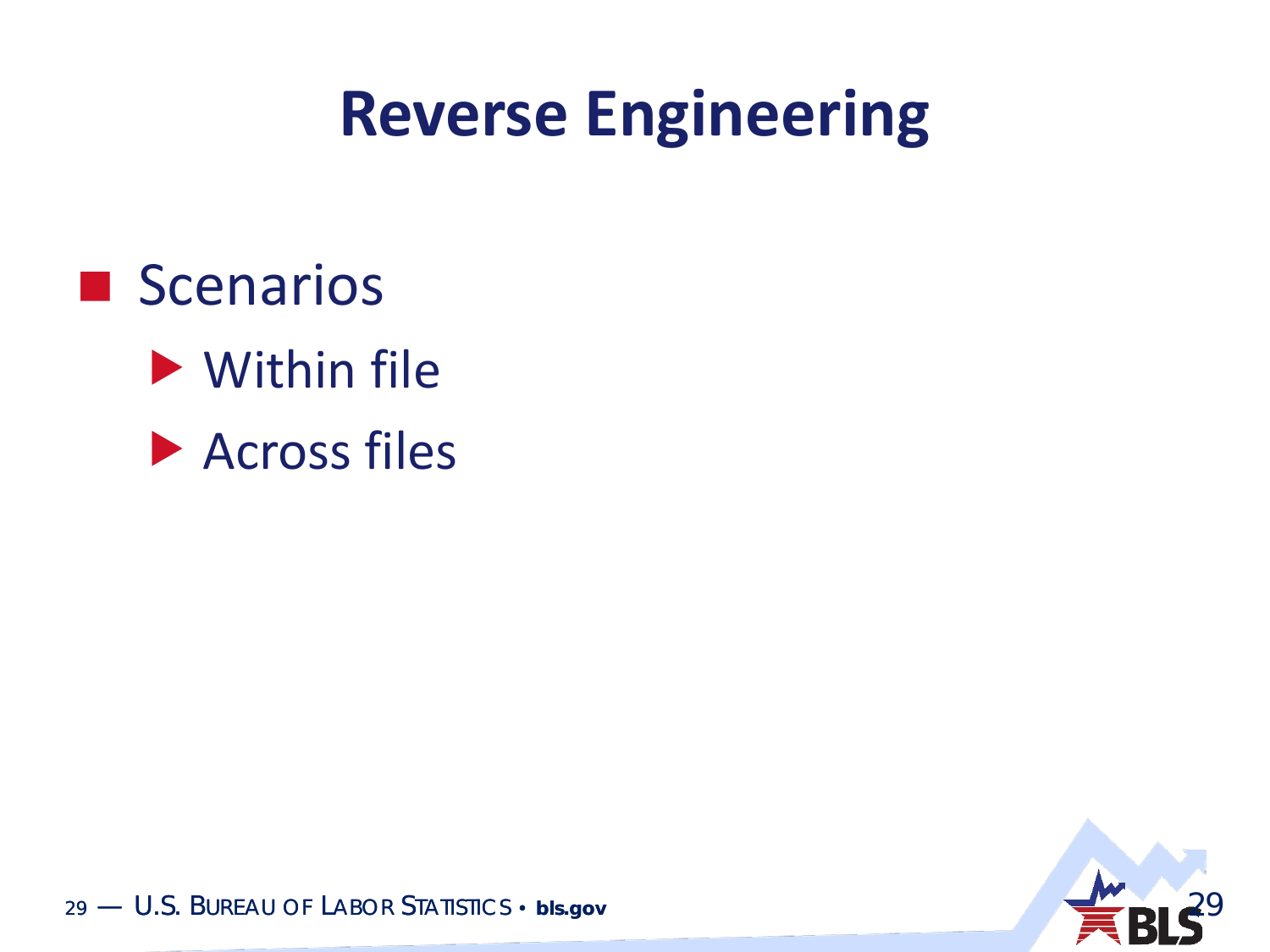#### **Reverse Engineering**

**Scenarios** Within file

**Across files** 

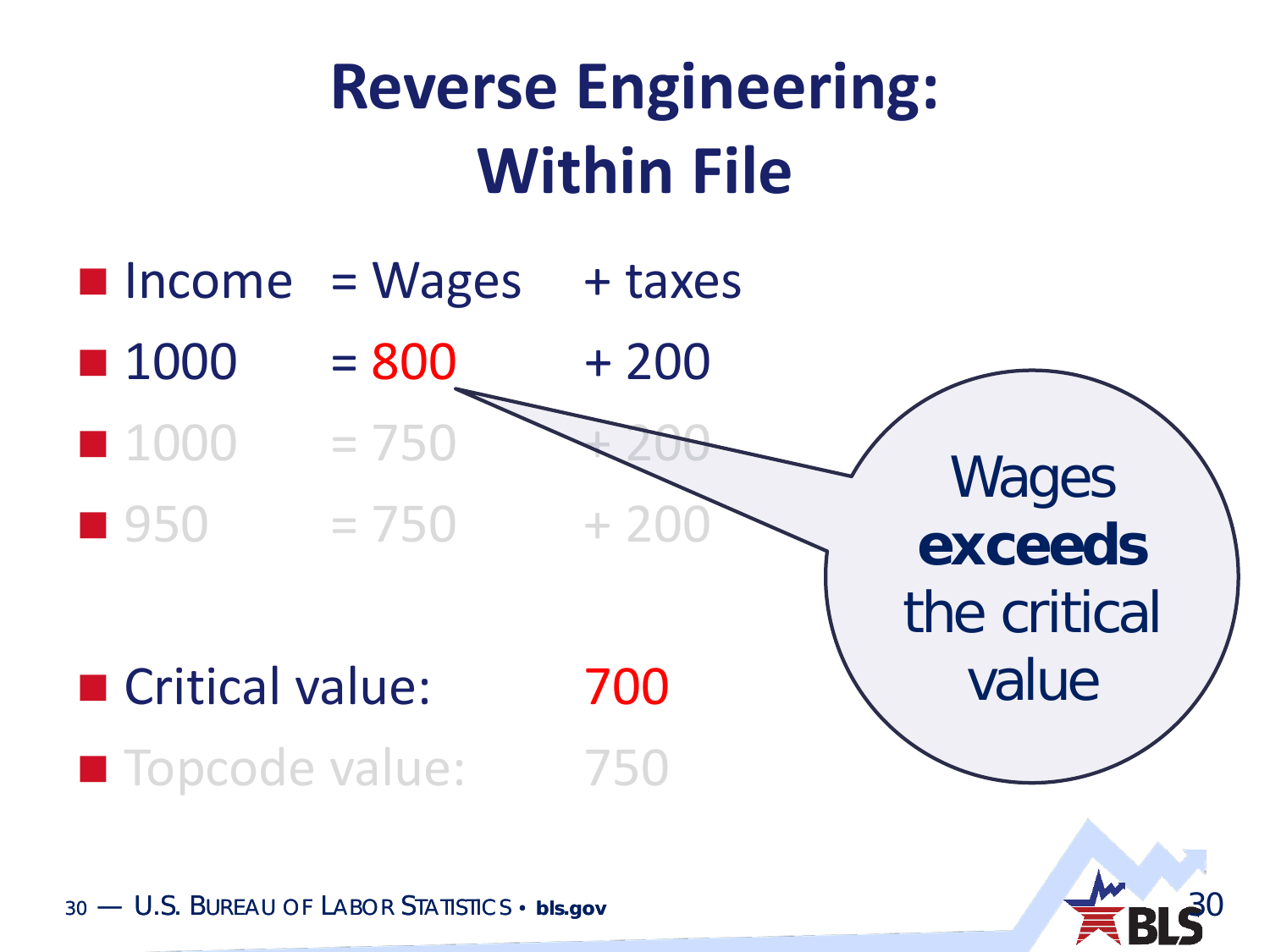### **Reverse Engineering: Within File**



30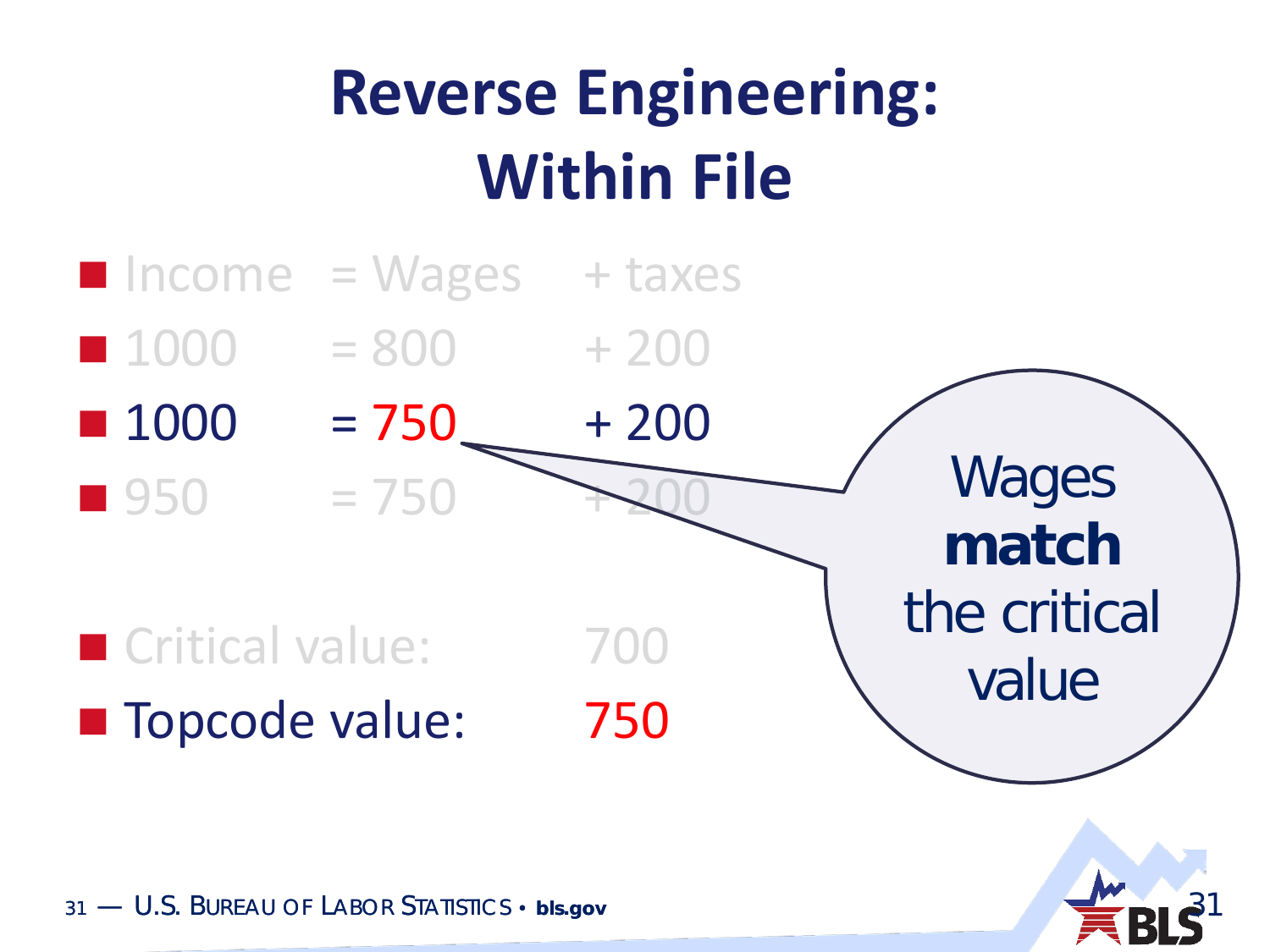# **Reverse Engineering: Within File**



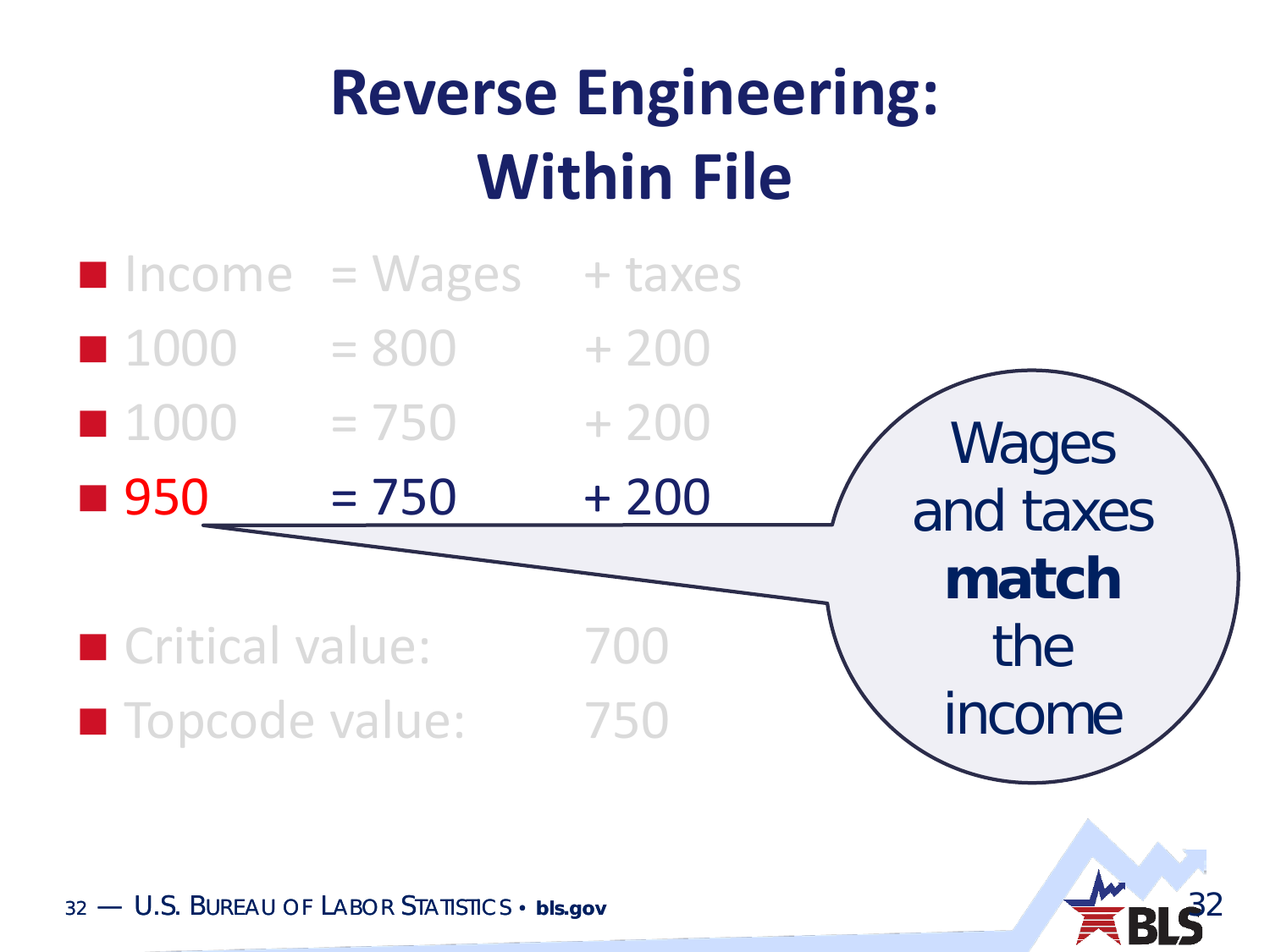# **Reverse Engineering: Within File**



32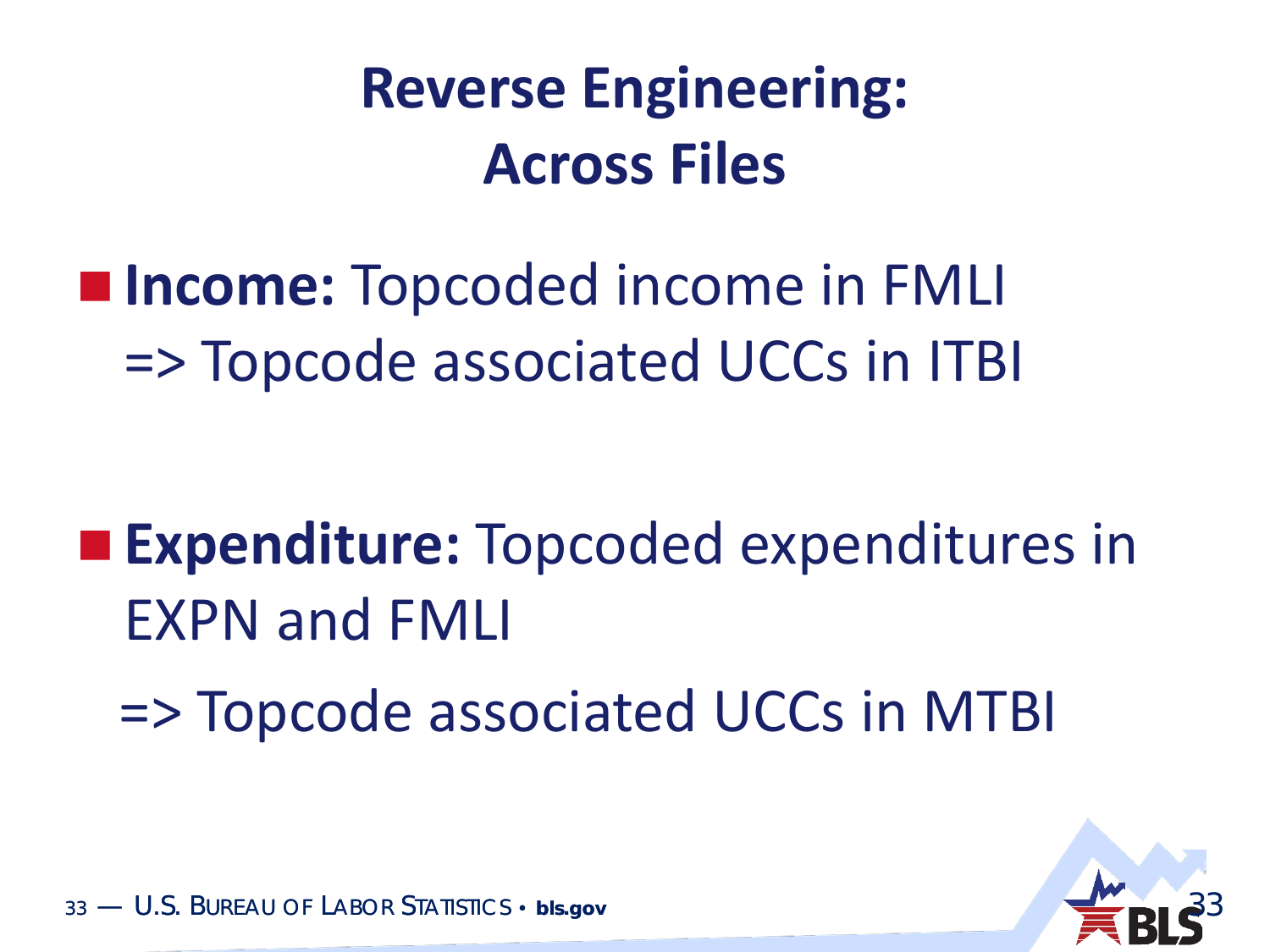#### **Reverse Engineering: Across Files**

 **Income:** Topcoded income in FMLI => Topcode associated UCCs in ITBI

 **Expenditure:** Topcoded expenditures in EXPN and FMLI

=> Topcode associated UCCs in MTBI

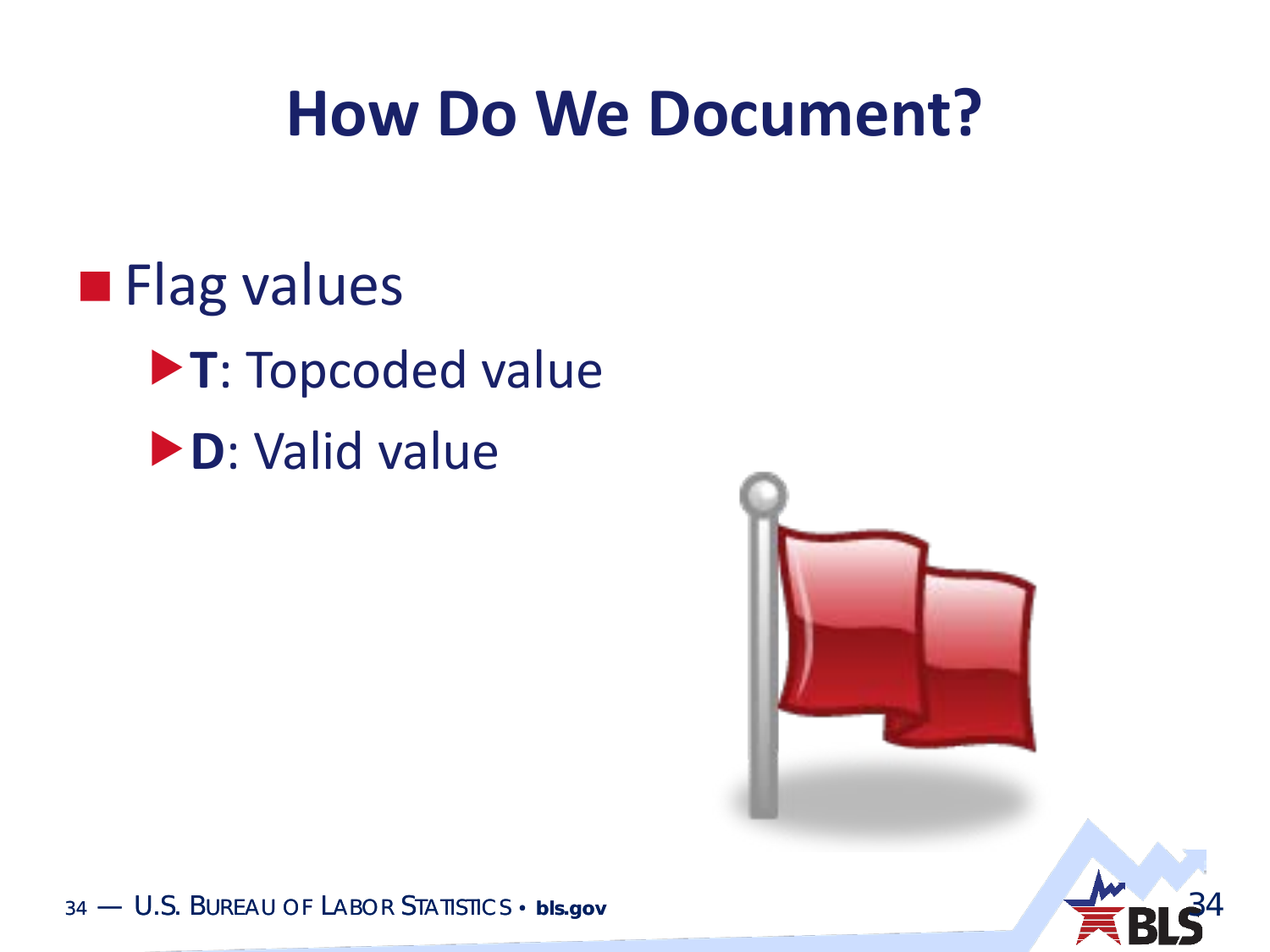#### **How Do We Document?**

**Flag values T**: Topcoded value **D**: Valid value

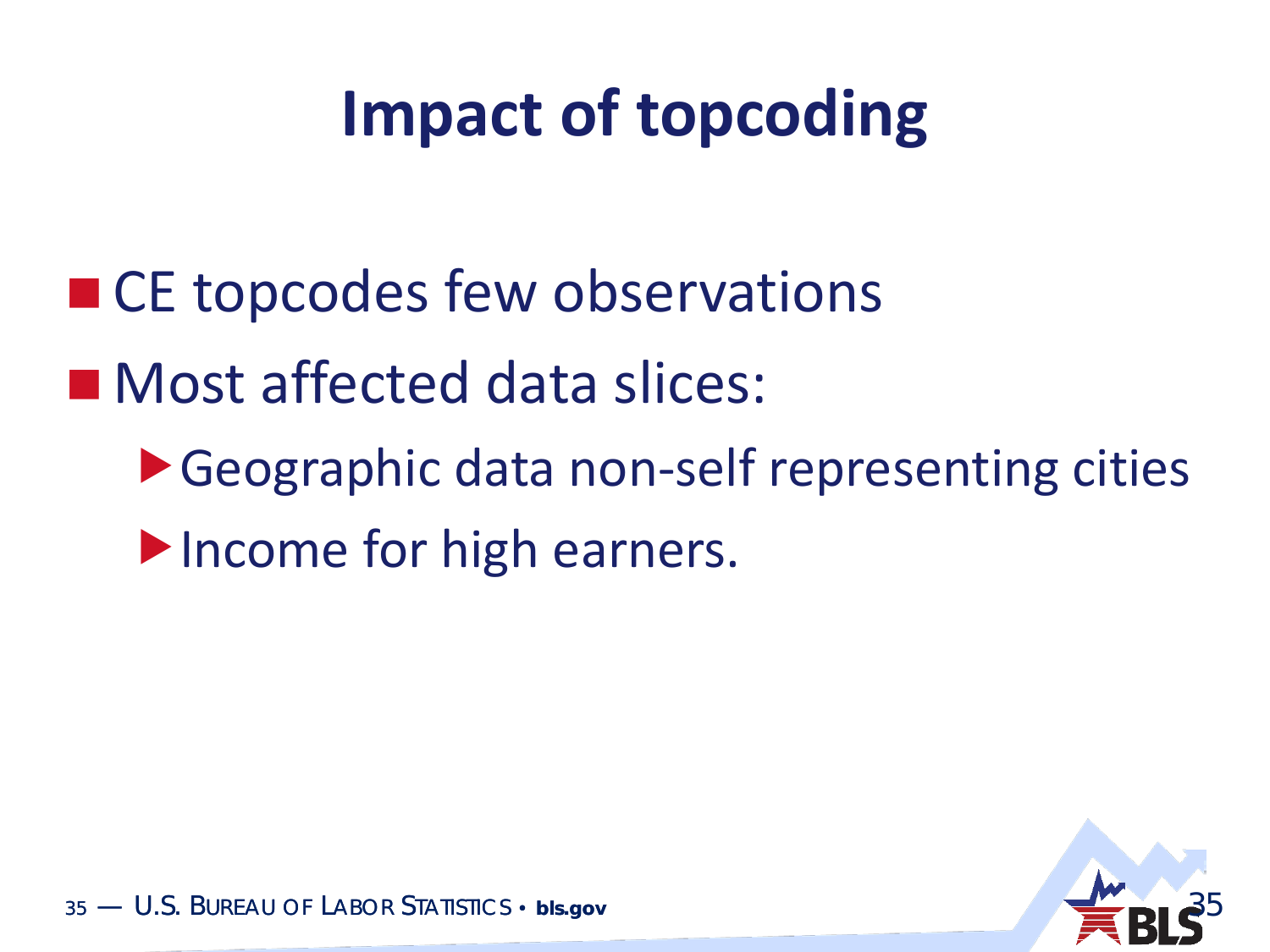# **Impact of topcoding**

- CE topcodes few observations
- Most affected data slices:
	- ▶ Geographic data non-self representing cities Income for high earners.

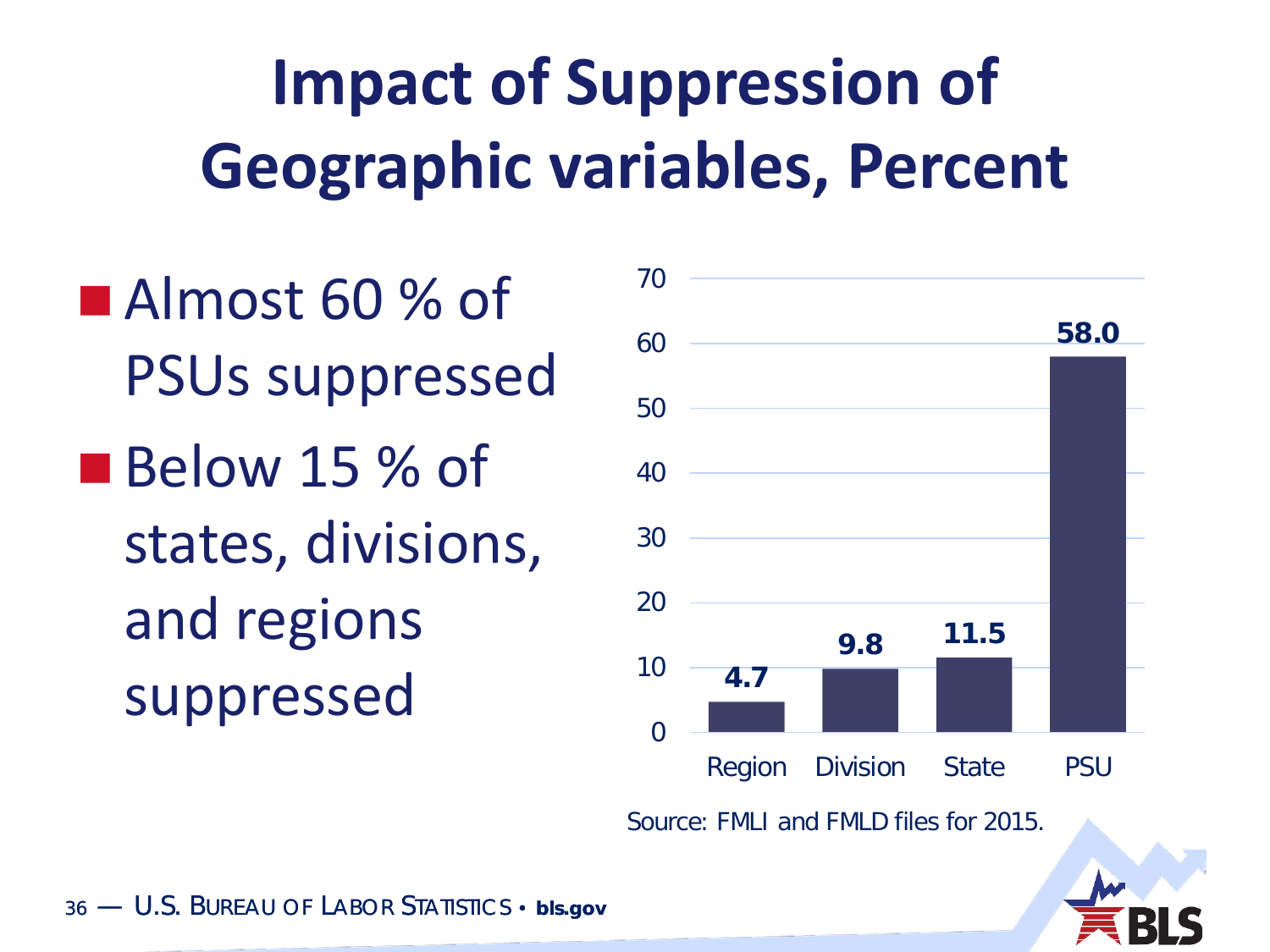# **Impact of Suppression of Geographic variables, Percent**

Almost 60 % of PSUs suppressed Below 15 % of states, divisions, and regions suppressed  $\frac{4.7}{4.7}$ 



Source: FMLI and FMLD files for 2015.

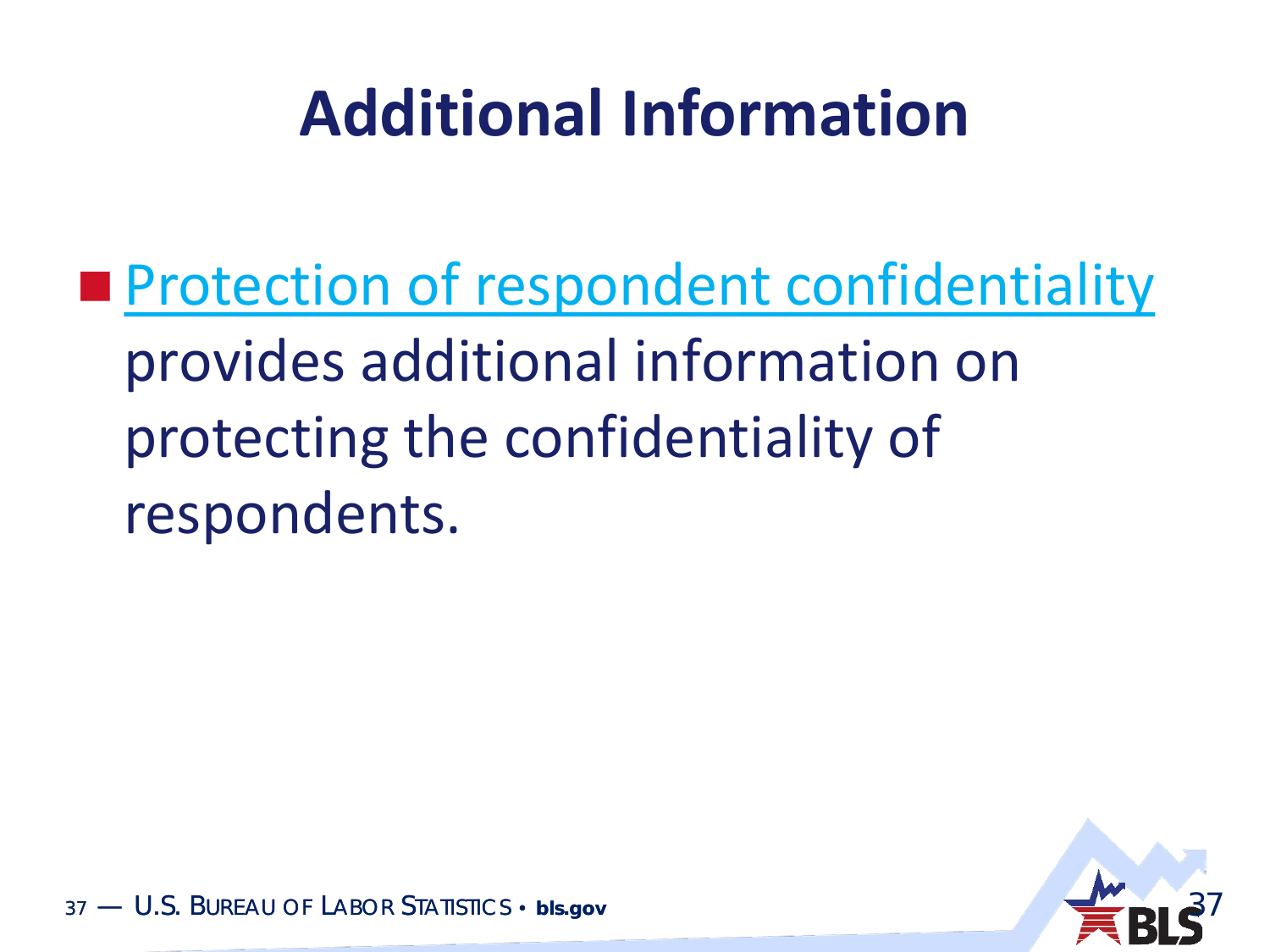### **Additional Information**

**[Protection of respondent confidentiality](http://www.bls.gov/cex/pumd_disclosure.htm)** provides additional information on protecting the confidentiality of respondents.